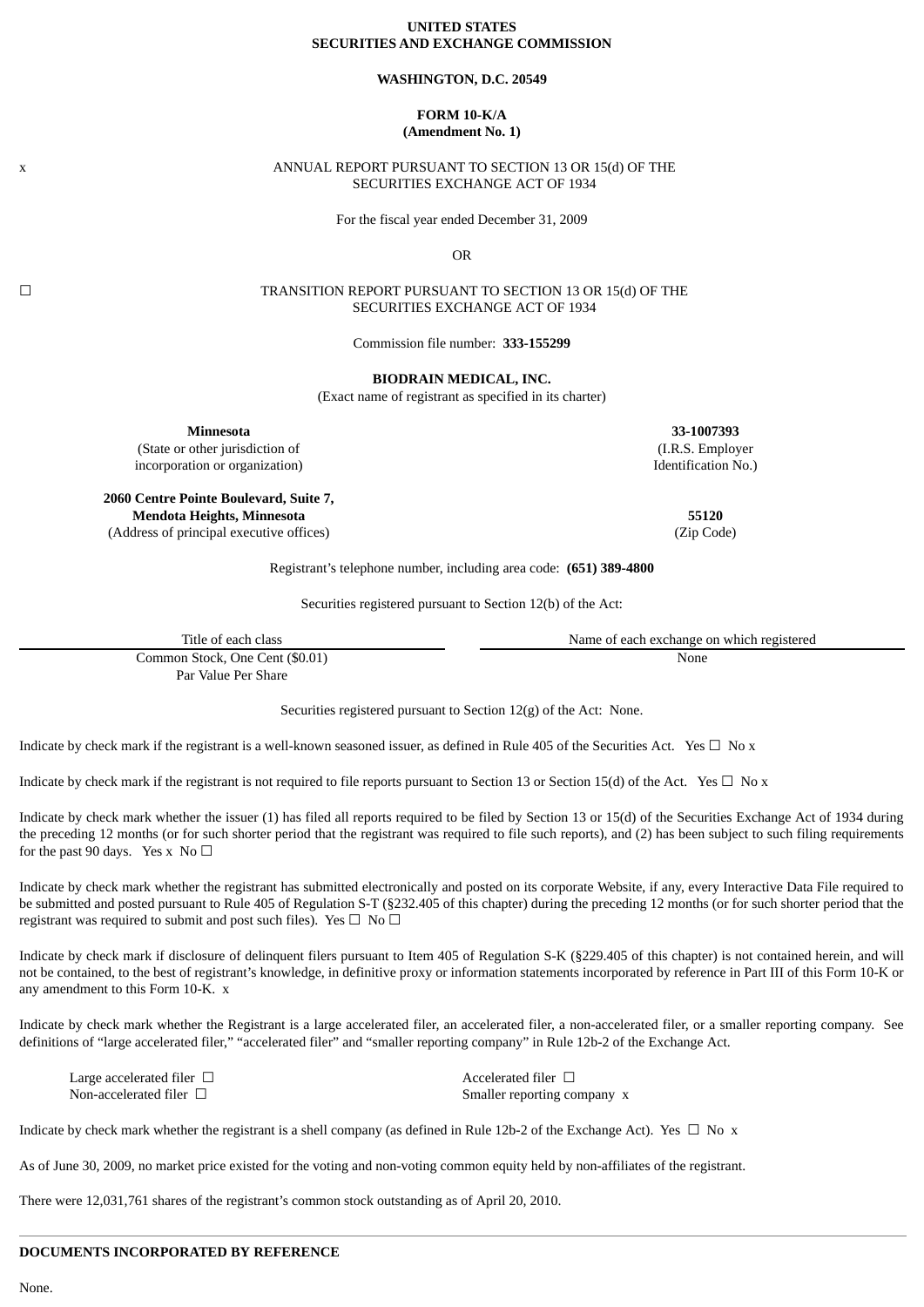## **UNITED STATES SECURITIES AND EXCHANGE COMMISSION**

#### **WASHINGTON, D.C. 20549**

# **FORM 10-K/A (Amendment No. 1)**

### x ANNUAL REPORT PURSUANT TO SECTION 13 OR 15(d) OF THE SECURITIES EXCHANGE ACT OF 1934

For the fiscal year ended December 31, 2009

OR

☐ TRANSITION REPORT PURSUANT TO SECTION 13 OR 15(d) OF THE SECURITIES EXCHANGE ACT OF 1934

Commission file number: **333-155299**

**BIODRAIN MEDICAL, INC.**

(Exact name of registrant as specified in its charter)

**Minnesota 33-1007393**

(State or other jurisdiction of (I.R.S. Employer incorporation or organization) and the control of the control of the control of the control of the control of the control of the control of the control of the control of the control of the control of the control of the con

**2060 Centre Pointe Boulevard, Suite 7, Mendota Heights, Minnesota 55120**

(Address of principal executive offices) (Zip Code)

Registrant's telephone number, including area code: **(651) 389-4800**

Securities registered pursuant to Section 12(b) of the Act:

| Title of each class             | Name of each exchange on which registered |
|---------------------------------|-------------------------------------------|
| Common Stock, One Cent (\$0.01) | None                                      |

Par Value Per Share

Securities registered pursuant to Section 12(g) of the Act: None.

Indicate by check mark if the registrant is a well-known seasoned issuer, as defined in Rule 405 of the Securities Act. Yes  $\Box$  No x

Indicate by check mark if the registrant is not required to file reports pursuant to Section 13 or Section 15(d) of the Act. Yes  $\Box$  No x

Indicate by check mark whether the issuer (1) has filed all reports required to be filed by Section 13 or 15(d) of the Securities Exchange Act of 1934 during the preceding 12 months (or for such shorter period that the registrant was required to file such reports), and (2) has been subject to such filing requirements for the past 90 days. Yes x No  $\Box$ 

Indicate by check mark whether the registrant has submitted electronically and posted on its corporate Website, if any, every Interactive Data File required to be submitted and posted pursuant to Rule 405 of Regulation S-T (§232.405 of this chapter) during the preceding 12 months (or for such shorter period that the registrant was required to submit and post such files). Yes  $\Box$  No  $\Box$ 

Indicate by check mark if disclosure of delinquent filers pursuant to Item 405 of Regulation S-K (§229.405 of this chapter) is not contained herein, and will not be contained, to the best of registrant's knowledge, in definitive proxy or information statements incorporated by reference in Part III of this Form 10-K or any amendment to this Form 10-K. x

Indicate by check mark whether the Registrant is a large accelerated filer, an accelerated filer, a non-accelerated filer, or a smaller reporting company. See definitions of "large accelerated filer," "accelerated filer" and "smaller reporting company" in Rule 12b-2 of the Exchange Act.

| Large accelerated filer $\Box$ | Accelerated filer $\Box$    |
|--------------------------------|-----------------------------|
| Non-accelerated filer $\Box$   | Smaller reporting company x |

Indicate by check mark whether the registrant is a shell company (as defined in Rule 12b-2 of the Exchange Act). Yes  $\Box$  No x

As of June 30, 2009, no market price existed for the voting and non-voting common equity held by non-affiliates of the registrant.

There were 12,031,761 shares of the registrant's common stock outstanding as of April 20, 2010.

# **DOCUMENTS INCORPORATED BY REFERENCE**

None.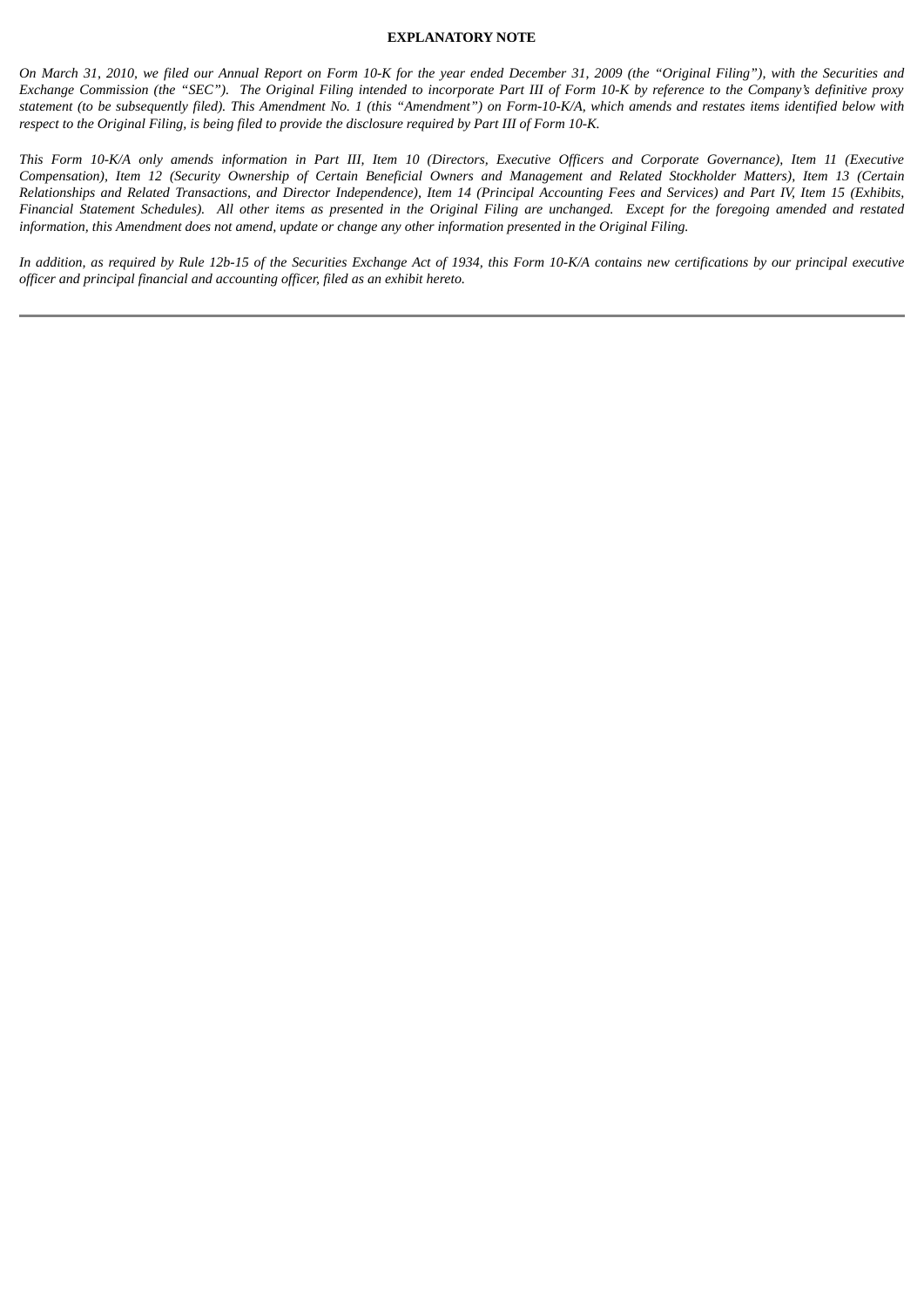### **EXPLANATORY NOTE**

On March 31, 2010, we filed our Annual Report on Form 10-K for the year ended December 31, 2009 (the "Original Filing"), with the Securities and Exchange Commission (the "SEC"). The Original Filing intended to incorporate Part III of Form 10-K by reference to the Company's definitive proxy statement (to be subsequently filed). This Amendment No. 1 (this "Amendment") on Form-10-K/A, which amends and restates items identified below with respect to the Original Filing, is being filed to provide the disclosure required by Part III of Form 10-K.

This Form 10-K/A only amends information in Part III, Item 10 (Directors, Executive Officers and Corporate Governance), Item 11 (Executive Compensation), Item 12 (Security Ownership of Certain Beneficial Owners and Management and Related Stockholder Matters), Item 13 (Certain Relationships and Related Transactions, and Director Independence), Item 14 (Principal Accounting Fees and Services) and Part IV, Item 15 (Exhibits, Financial Statement Schedules). All other items as presented in the Original Filing are unchanged. Except for the foregoing amended and restated information, this Amendment does not amend, update or change any other information presented in the Original Filing.

In addition, as required by Rule 12b-15 of the Securities Exchange Act of 1934, this Form 10-K/A contains new certifications by our principal executive *officer and principal financial and accounting officer, filed as an exhibit hereto.*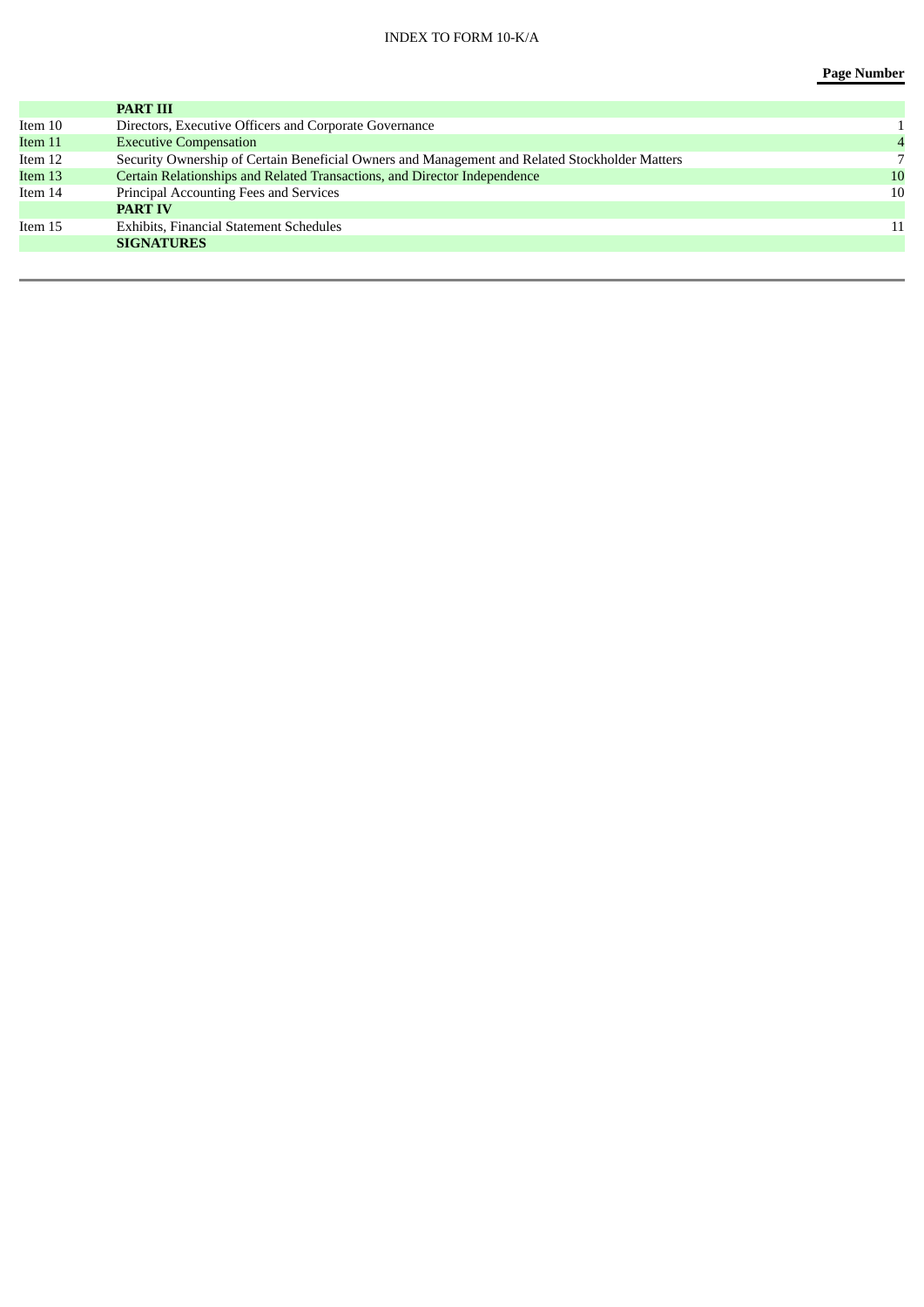|         | <b>PART III</b>                                                                                |    |
|---------|------------------------------------------------------------------------------------------------|----|
| Item 10 | Directors, Executive Officers and Corporate Governance                                         |    |
| Item 11 | <b>Executive Compensation</b>                                                                  |    |
| Item 12 | Security Ownership of Certain Beneficial Owners and Management and Related Stockholder Matters |    |
| Item 13 | Certain Relationships and Related Transactions, and Director Independence                      | 10 |
| Item 14 | Principal Accounting Fees and Services                                                         | 10 |
|         | <b>PART IV</b>                                                                                 |    |
| Item 15 | <b>Exhibits, Financial Statement Schedules</b>                                                 | 11 |
|         | <b>SIGNATURES</b>                                                                              |    |
|         |                                                                                                |    |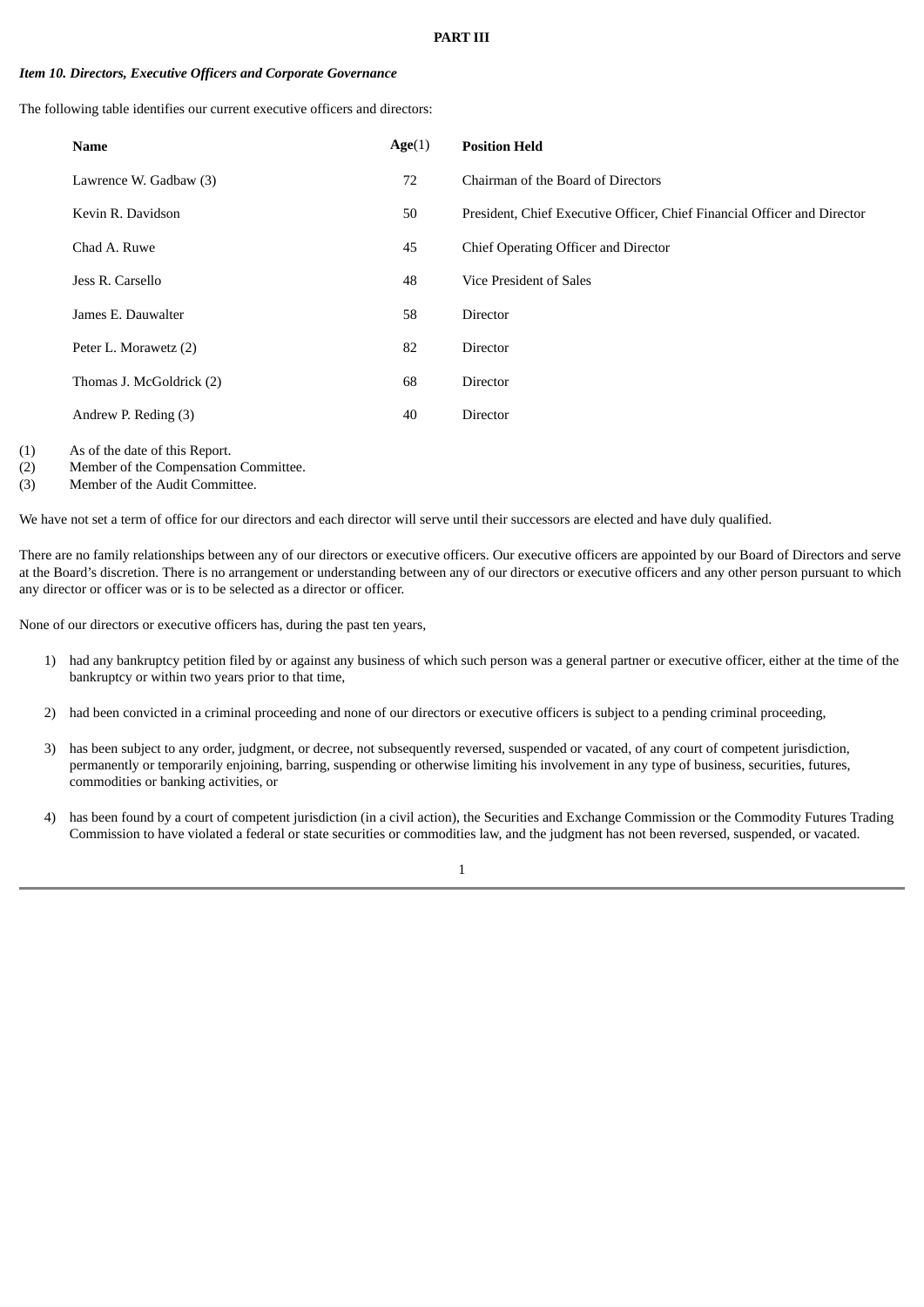#### **PART III**

#### *Item 10. Directors, Executive Officers and Corporate Governance*

The following table identifies our current executive officers and directors:

| <b>Name</b>              | Age(1) | <b>Position Held</b>                                                     |
|--------------------------|--------|--------------------------------------------------------------------------|
| Lawrence W. Gadbaw (3)   | 72     | Chairman of the Board of Directors                                       |
| Kevin R. Davidson        | 50     | President, Chief Executive Officer, Chief Financial Officer and Director |
| Chad A. Ruwe             | 45     | Chief Operating Officer and Director                                     |
| Jess R. Carsello         | 48     | Vice President of Sales                                                  |
| James E. Dauwalter       | 58     | <b>Director</b>                                                          |
| Peter L. Morawetz (2)    | 82     | <b>Director</b>                                                          |
| Thomas J. McGoldrick (2) | 68     | <b>Director</b>                                                          |
| Andrew P. Reding (3)     | 40     | Director                                                                 |
|                          |        |                                                                          |

(1) As of the date of this Report.

(2) Member of the Compensation Committee.

(3) Member of the Audit Committee.

We have not set a term of office for our directors and each director will serve until their successors are elected and have duly qualified.

There are no family relationships between any of our directors or executive officers. Our executive officers are appointed by our Board of Directors and serve at the Board's discretion. There is no arrangement or understanding between any of our directors or executive officers and any other person pursuant to which any director or officer was or is to be selected as a director or officer.

None of our directors or executive officers has, during the past ten years,

- 1) had any bankruptcy petition filed by or against any business of which such person was a general partner or executive officer, either at the time of the bankruptcy or within two years prior to that time,
- 2) had been convicted in a criminal proceeding and none of our directors or executive officers is subject to a pending criminal proceeding,
- 3) has been subject to any order, judgment, or decree, not subsequently reversed, suspended or vacated, of any court of competent jurisdiction, permanently or temporarily enjoining, barring, suspending or otherwise limiting his involvement in any type of business, securities, futures, commodities or banking activities, or
- 4) has been found by a court of competent jurisdiction (in a civil action), the Securities and Exchange Commission or the Commodity Futures Trading Commission to have violated a federal or state securities or commodities law, and the judgment has not been reversed, suspended, or vacated.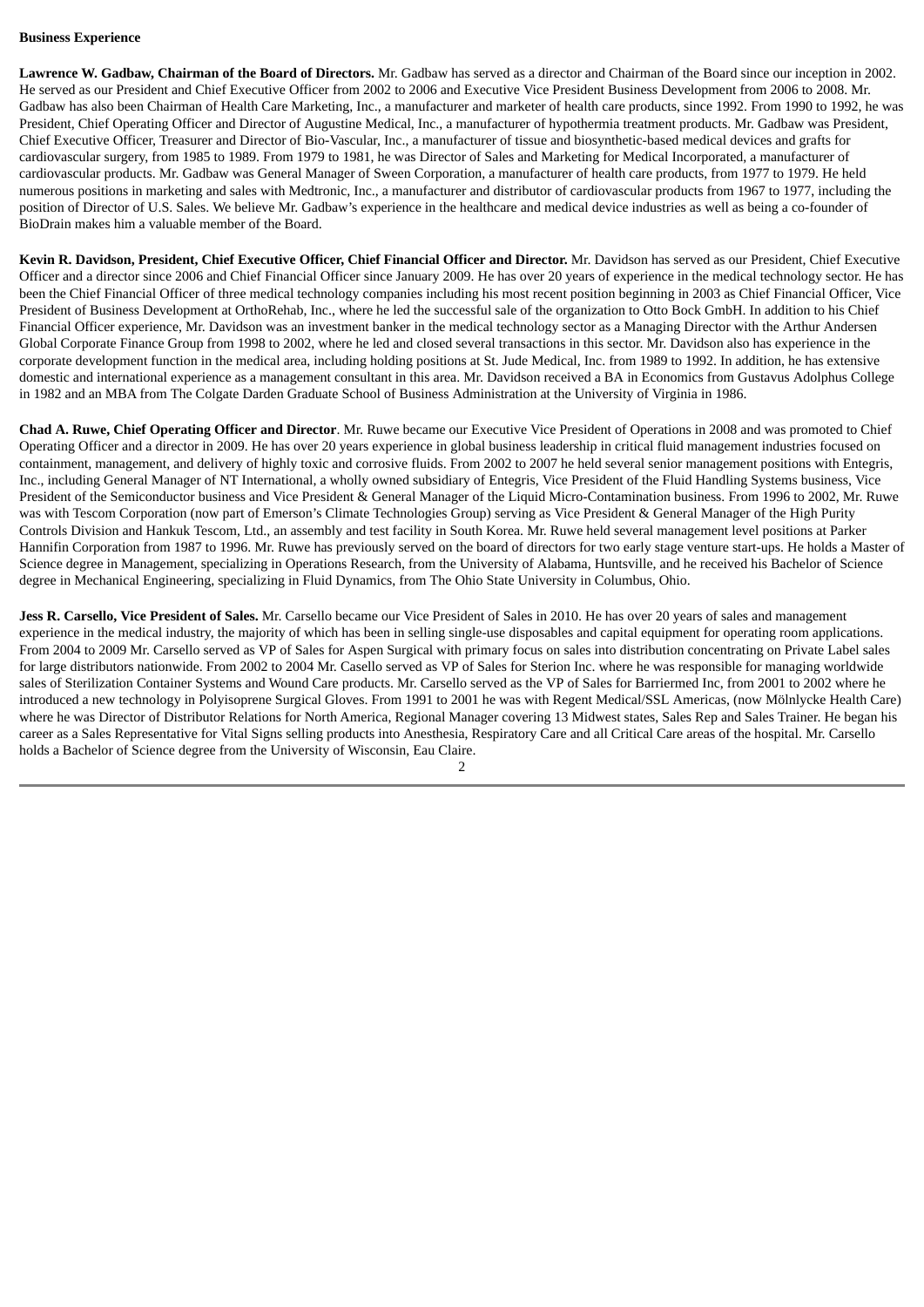# **Business Experience**

**Lawrence W. Gadbaw, Chairman of the Board of Directors.** Mr. Gadbaw has served as a director and Chairman of the Board since our inception in 2002. He served as our President and Chief Executive Officer from 2002 to 2006 and Executive Vice President Business Development from 2006 to 2008. Mr. Gadbaw has also been Chairman of Health Care Marketing, Inc., a manufacturer and marketer of health care products, since 1992. From 1990 to 1992, he was President, Chief Operating Officer and Director of Augustine Medical, Inc., a manufacturer of hypothermia treatment products. Mr. Gadbaw was President, Chief Executive Officer, Treasurer and Director of Bio-Vascular, Inc., a manufacturer of tissue and biosynthetic-based medical devices and grafts for cardiovascular surgery, from 1985 to 1989. From 1979 to 1981, he was Director of Sales and Marketing for Medical Incorporated, a manufacturer of cardiovascular products. Mr. Gadbaw was General Manager of Sween Corporation, a manufacturer of health care products, from 1977 to 1979. He held numerous positions in marketing and sales with Medtronic, Inc., a manufacturer and distributor of cardiovascular products from 1967 to 1977, including the position of Director of U.S. Sales. We believe Mr. Gadbaw's experience in the healthcare and medical device industries as well as being a co-founder of BioDrain makes him a valuable member of the Board.

Kevin R. Davidson, President, Chief Executive Officer, Chief Financial Officer and Director. Mr. Davidson has served as our President, Chief Executive Officer and a director since 2006 and Chief Financial Officer since January 2009. He has over 20 years of experience in the medical technology sector. He has been the Chief Financial Officer of three medical technology companies including his most recent position beginning in 2003 as Chief Financial Officer, Vice President of Business Development at OrthoRehab, Inc., where he led the successful sale of the organization to Otto Bock GmbH. In addition to his Chief Financial Officer experience, Mr. Davidson was an investment banker in the medical technology sector as a Managing Director with the Arthur Andersen Global Corporate Finance Group from 1998 to 2002, where he led and closed several transactions in this sector. Mr. Davidson also has experience in the corporate development function in the medical area, including holding positions at St. Jude Medical, Inc. from 1989 to 1992. In addition, he has extensive domestic and international experience as a management consultant in this area. Mr. Davidson received a BA in Economics from Gustavus Adolphus College in 1982 and an MBA from The Colgate Darden Graduate School of Business Administration at the University of Virginia in 1986.

**Chad A. Ruwe, Chief Operating Officer and Director**. Mr. Ruwe became our Executive Vice President of Operations in 2008 and was promoted to Chief Operating Officer and a director in 2009. He has over 20 years experience in global business leadership in critical fluid management industries focused on containment, management, and delivery of highly toxic and corrosive fluids. From 2002 to 2007 he held several senior management positions with Entegris, Inc., including General Manager of NT International, a wholly owned subsidiary of Entegris, Vice President of the Fluid Handling Systems business, Vice President of the Semiconductor business and Vice President & General Manager of the Liquid Micro-Contamination business. From 1996 to 2002, Mr. Ruwe was with Tescom Corporation (now part of Emerson's Climate Technologies Group) serving as Vice President & General Manager of the High Purity Controls Division and Hankuk Tescom, Ltd., an assembly and test facility in South Korea. Mr. Ruwe held several management level positions at Parker Hannifin Corporation from 1987 to 1996. Mr. Ruwe has previously served on the board of directors for two early stage venture start-ups. He holds a Master of Science degree in Management, specializing in Operations Research, from the University of Alabama, Huntsville, and he received his Bachelor of Science degree in Mechanical Engineering, specializing in Fluid Dynamics, from The Ohio State University in Columbus, Ohio.

**Jess R. Carsello, Vice President of Sales.** Mr. Carsello became our Vice President of Sales in 2010. He has over 20 years of sales and management experience in the medical industry, the majority of which has been in selling single-use disposables and capital equipment for operating room applications. From 2004 to 2009 Mr. Carsello served as VP of Sales for Aspen Surgical with primary focus on sales into distribution concentrating on Private Label sales for large distributors nationwide. From 2002 to 2004 Mr. Casello served as VP of Sales for Sterion Inc. where he was responsible for managing worldwide sales of Sterilization Container Systems and Wound Care products. Mr. Carsello served as the VP of Sales for Barriermed Inc, from 2001 to 2002 where he introduced a new technology in Polyisoprene Surgical Gloves. From 1991 to 2001 he was with Regent Medical/SSL Americas, (now Mölnlycke Health Care) where he was Director of Distributor Relations for North America, Regional Manager covering 13 Midwest states, Sales Rep and Sales Trainer. He began his career as a Sales Representative for Vital Signs selling products into Anesthesia, Respiratory Care and all Critical Care areas of the hospital. Mr. Carsello holds a Bachelor of Science degree from the University of Wisconsin, Eau Claire.

 $\mathcal{D}$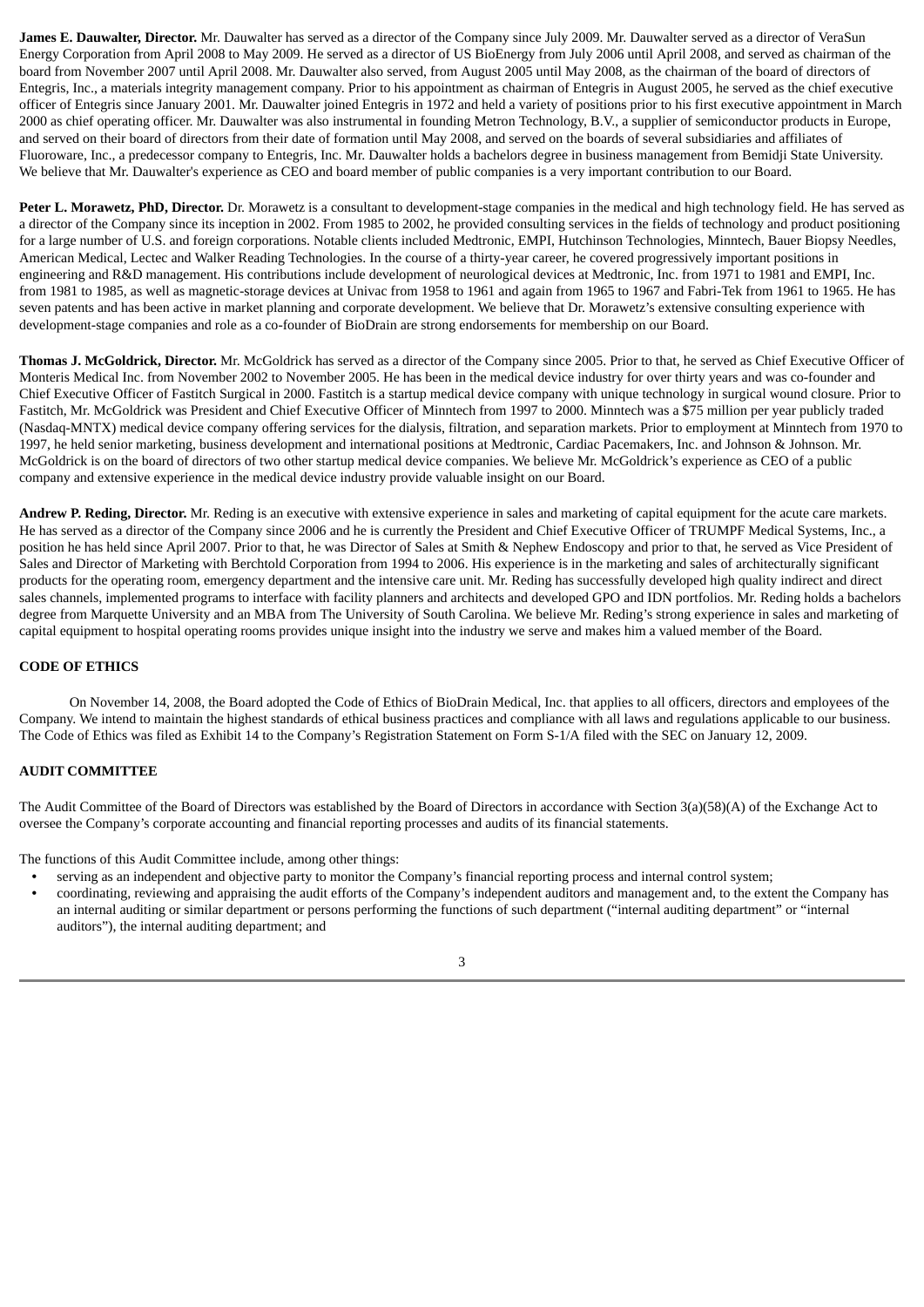**James E. Dauwalter, Director.** Mr. Dauwalter has served as a director of the Company since July 2009. Mr. Dauwalter served as a director of VeraSun Energy Corporation from April 2008 to May 2009. He served as a director of US BioEnergy from July 2006 until April 2008, and served as chairman of the board from November 2007 until April 2008. Mr. Dauwalter also served, from August 2005 until May 2008, as the chairman of the board of directors of Entegris, Inc., a materials integrity management company. Prior to his appointment as chairman of Entegris in August 2005, he served as the chief executive officer of Entegris since January 2001. Mr. Dauwalter joined Entegris in 1972 and held a variety of positions prior to his first executive appointment in March 2000 as chief operating officer. Mr. Dauwalter was also instrumental in founding Metron Technology, B.V., a supplier of semiconductor products in Europe, and served on their board of directors from their date of formation until May 2008, and served on the boards of several subsidiaries and affiliates of Fluoroware, Inc., a predecessor company to Entegris, Inc. Mr. Dauwalter holds a bachelors degree in business management from Bemidji State University. We believe that Mr. Dauwalter's experience as CEO and board member of public companies is a very important contribution to our Board.

**Peter L. Morawetz, PhD, Director.** Dr. Morawetz is a consultant to development-stage companies in the medical and high technology field. He has served as a director of the Company since its inception in 2002. From 1985 to 2002, he provided consulting services in the fields of technology and product positioning for a large number of U.S. and foreign corporations. Notable clients included Medtronic, EMPI, Hutchinson Technologies, Minntech, Bauer Biopsy Needles, American Medical, Lectec and Walker Reading Technologies. In the course of a thirty-year career, he covered progressively important positions in engineering and R&D management. His contributions include development of neurological devices at Medtronic, Inc. from 1971 to 1981 and EMPI, Inc. from 1981 to 1985, as well as magnetic-storage devices at Univac from 1958 to 1961 and again from 1965 to 1967 and Fabri-Tek from 1961 to 1965. He has seven patents and has been active in market planning and corporate development. We believe that Dr. Morawetz's extensive consulting experience with development-stage companies and role as a co-founder of BioDrain are strong endorsements for membership on our Board.

**Thomas J. McGoldrick, Director.** Mr. McGoldrick has served as a director of the Company since 2005. Prior to that, he served as Chief Executive Officer of Monteris Medical Inc. from November 2002 to November 2005. He has been in the medical device industry for over thirty years and was co-founder and Chief Executive Officer of Fastitch Surgical in 2000. Fastitch is a startup medical device company with unique technology in surgical wound closure. Prior to Fastitch, Mr. McGoldrick was President and Chief Executive Officer of Minntech from 1997 to 2000. Minntech was a \$75 million per year publicly traded (Nasdaq-MNTX) medical device company offering services for the dialysis, filtration, and separation markets. Prior to employment at Minntech from 1970 to 1997, he held senior marketing, business development and international positions at Medtronic, Cardiac Pacemakers, Inc. and Johnson & Johnson. Mr. McGoldrick is on the board of directors of two other startup medical device companies. We believe Mr. McGoldrick's experience as CEO of a public company and extensive experience in the medical device industry provide valuable insight on our Board.

**Andrew P. Reding, Director.** Mr. Reding is an executive with extensive experience in sales and marketing of capital equipment for the acute care markets. He has served as a director of the Company since 2006 and he is currently the President and Chief Executive Officer of TRUMPF Medical Systems, Inc., a position he has held since April 2007. Prior to that, he was Director of Sales at Smith & Nephew Endoscopy and prior to that, he served as Vice President of Sales and Director of Marketing with Berchtold Corporation from 1994 to 2006. His experience is in the marketing and sales of architecturally significant products for the operating room, emergency department and the intensive care unit. Mr. Reding has successfully developed high quality indirect and direct sales channels, implemented programs to interface with facility planners and architects and developed GPO and IDN portfolios. Mr. Reding holds a bachelors degree from Marquette University and an MBA from The University of South Carolina. We believe Mr. Reding's strong experience in sales and marketing of capital equipment to hospital operating rooms provides unique insight into the industry we serve and makes him a valued member of the Board.

# **CODE OF ETHICS**

On November 14, 2008, the Board adopted the Code of Ethics of BioDrain Medical, Inc. that applies to all officers, directors and employees of the Company. We intend to maintain the highest standards of ethical business practices and compliance with all laws and regulations applicable to our business. The Code of Ethics was filed as Exhibit 14 to the Company's Registration Statement on Form S-1/A filed with the SEC on January 12, 2009.

# **AUDIT COMMITTEE**

The Audit Committee of the Board of Directors was established by the Board of Directors in accordance with Section 3(a)(58)(A) of the Exchange Act to oversee the Company's corporate accounting and financial reporting processes and audits of its financial statements.

The functions of this Audit Committee include, among other things:

- **•** serving as an independent and objective party to monitor the Company's financial reporting process and internal control system;
- **•** coordinating, reviewing and appraising the audit efforts of the Company's independent auditors and management and, to the extent the Company has an internal auditing or similar department or persons performing the functions of such department ("internal auditing department" or "internal auditors"), the internal auditing department; and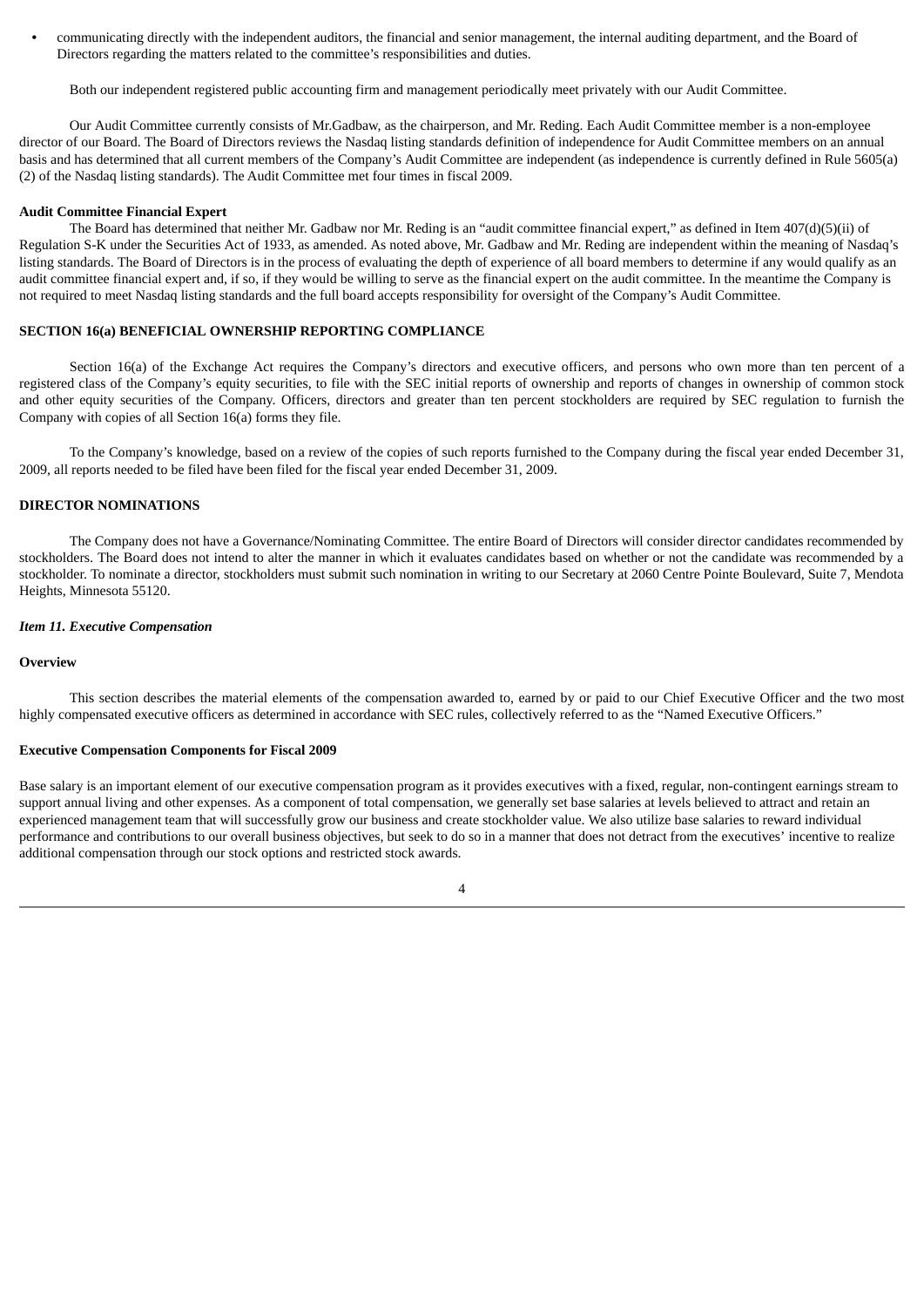**•** communicating directly with the independent auditors, the financial and senior management, the internal auditing department, and the Board of Directors regarding the matters related to the committee's responsibilities and duties.

Both our independent registered public accounting firm and management periodically meet privately with our Audit Committee.

Our Audit Committee currently consists of Mr.Gadbaw, as the chairperson, and Mr. Reding. Each Audit Committee member is a non-employee director of our Board. The Board of Directors reviews the Nasdaq listing standards definition of independence for Audit Committee members on an annual basis and has determined that all current members of the Company's Audit Committee are independent (as independence is currently defined in Rule 5605(a) (2) of the Nasdaq listing standards). The Audit Committee met four times in fiscal 2009.

#### **Audit Committee Financial Expert**

The Board has determined that neither Mr. Gadbaw nor Mr. Reding is an "audit committee financial expert," as defined in Item 407(d)(5)(ii) of Regulation S-K under the Securities Act of 1933, as amended. As noted above, Mr. Gadbaw and Mr. Reding are independent within the meaning of Nasdaq's listing standards. The Board of Directors is in the process of evaluating the depth of experience of all board members to determine if any would qualify as an audit committee financial expert and, if so, if they would be willing to serve as the financial expert on the audit committee. In the meantime the Company is not required to meet Nasdaq listing standards and the full board accepts responsibility for oversight of the Company's Audit Committee.

# **SECTION 16(a) BENEFICIAL OWNERSHIP REPORTING COMPLIANCE**

Section 16(a) of the Exchange Act requires the Company's directors and executive officers, and persons who own more than ten percent of a registered class of the Company's equity securities, to file with the SEC initial reports of ownership and reports of changes in ownership of common stock and other equity securities of the Company. Officers, directors and greater than ten percent stockholders are required by SEC regulation to furnish the Company with copies of all Section 16(a) forms they file.

To the Company's knowledge, based on a review of the copies of such reports furnished to the Company during the fiscal year ended December 31, 2009, all reports needed to be filed have been filed for the fiscal year ended December 31, 2009.

## **DIRECTOR NOMINATIONS**

The Company does not have a Governance/Nominating Committee. The entire Board of Directors will consider director candidates recommended by stockholders. The Board does not intend to alter the manner in which it evaluates candidates based on whether or not the candidate was recommended by a stockholder. To nominate a director, stockholders must submit such nomination in writing to our Secretary at 2060 Centre Pointe Boulevard, Suite 7, Mendota Heights, Minnesota 55120.

#### *Item 11. Executive Compensation*

#### **Overview**

This section describes the material elements of the compensation awarded to, earned by or paid to our Chief Executive Officer and the two most highly compensated executive officers as determined in accordance with SEC rules, collectively referred to as the "Named Executive Officers."

#### **Executive Compensation Components for Fiscal 2009**

Base salary is an important element of our executive compensation program as it provides executives with a fixed, regular, non-contingent earnings stream to support annual living and other expenses. As a component of total compensation, we generally set base salaries at levels believed to attract and retain an experienced management team that will successfully grow our business and create stockholder value. We also utilize base salaries to reward individual performance and contributions to our overall business objectives, but seek to do so in a manner that does not detract from the executives' incentive to realize additional compensation through our stock options and restricted stock awards.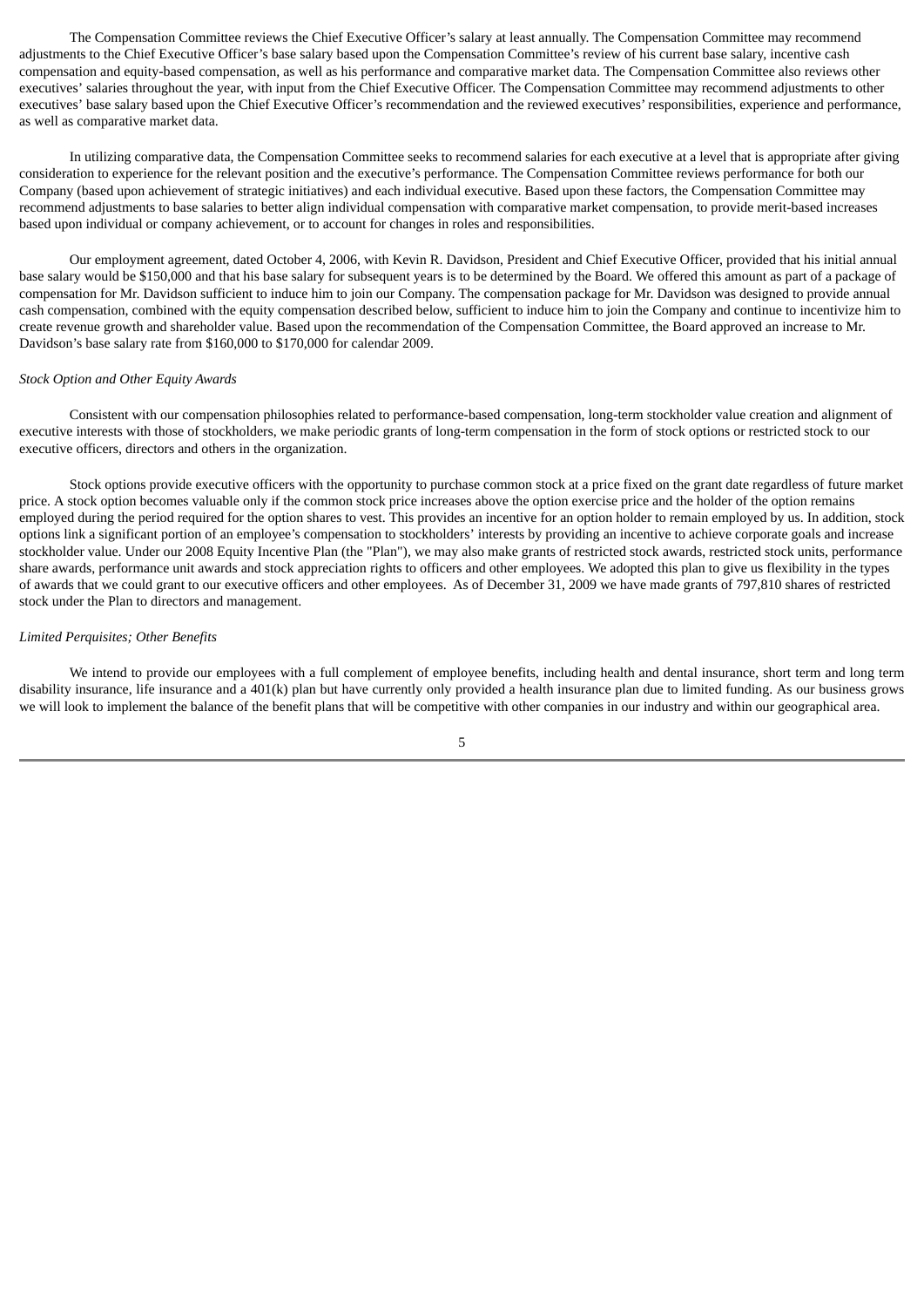The Compensation Committee reviews the Chief Executive Officer's salary at least annually. The Compensation Committee may recommend adjustments to the Chief Executive Officer's base salary based upon the Compensation Committee's review of his current base salary, incentive cash compensation and equity-based compensation, as well as his performance and comparative market data. The Compensation Committee also reviews other executives' salaries throughout the year, with input from the Chief Executive Officer. The Compensation Committee may recommend adjustments to other executives' base salary based upon the Chief Executive Officer's recommendation and the reviewed executives' responsibilities, experience and performance, as well as comparative market data.

In utilizing comparative data, the Compensation Committee seeks to recommend salaries for each executive at a level that is appropriate after giving consideration to experience for the relevant position and the executive's performance. The Compensation Committee reviews performance for both our Company (based upon achievement of strategic initiatives) and each individual executive. Based upon these factors, the Compensation Committee may recommend adjustments to base salaries to better align individual compensation with comparative market compensation, to provide merit-based increases based upon individual or company achievement, or to account for changes in roles and responsibilities.

Our employment agreement, dated October 4, 2006, with Kevin R. Davidson, President and Chief Executive Officer, provided that his initial annual base salary would be \$150,000 and that his base salary for subsequent years is to be determined by the Board. We offered this amount as part of a package of compensation for Mr. Davidson sufficient to induce him to join our Company. The compensation package for Mr. Davidson was designed to provide annual cash compensation, combined with the equity compensation described below, sufficient to induce him to join the Company and continue to incentivize him to create revenue growth and shareholder value. Based upon the recommendation of the Compensation Committee, the Board approved an increase to Mr. Davidson's base salary rate from \$160,000 to \$170,000 for calendar 2009.

### *Stock Option and Other Equity Awards*

Consistent with our compensation philosophies related to performance-based compensation, long-term stockholder value creation and alignment of executive interests with those of stockholders, we make periodic grants of long-term compensation in the form of stock options or restricted stock to our executive officers, directors and others in the organization.

Stock options provide executive officers with the opportunity to purchase common stock at a price fixed on the grant date regardless of future market price. A stock option becomes valuable only if the common stock price increases above the option exercise price and the holder of the option remains employed during the period required for the option shares to vest. This provides an incentive for an option holder to remain employed by us. In addition, stock options link a significant portion of an employee's compensation to stockholders' interests by providing an incentive to achieve corporate goals and increase stockholder value. Under our 2008 Equity Incentive Plan (the "Plan"), we may also make grants of restricted stock awards, restricted stock units, performance share awards, performance unit awards and stock appreciation rights to officers and other employees. We adopted this plan to give us flexibility in the types of awards that we could grant to our executive officers and other employees. As of December 31, 2009 we have made grants of 797,810 shares of restricted stock under the Plan to directors and management.

### *Limited Perquisites; Other Benefits*

We intend to provide our employees with a full complement of employee benefits, including health and dental insurance, short term and long term disability insurance, life insurance and a 401(k) plan but have currently only provided a health insurance plan due to limited funding. As our business grows we will look to implement the balance of the benefit plans that will be competitive with other companies in our industry and within our geographical area.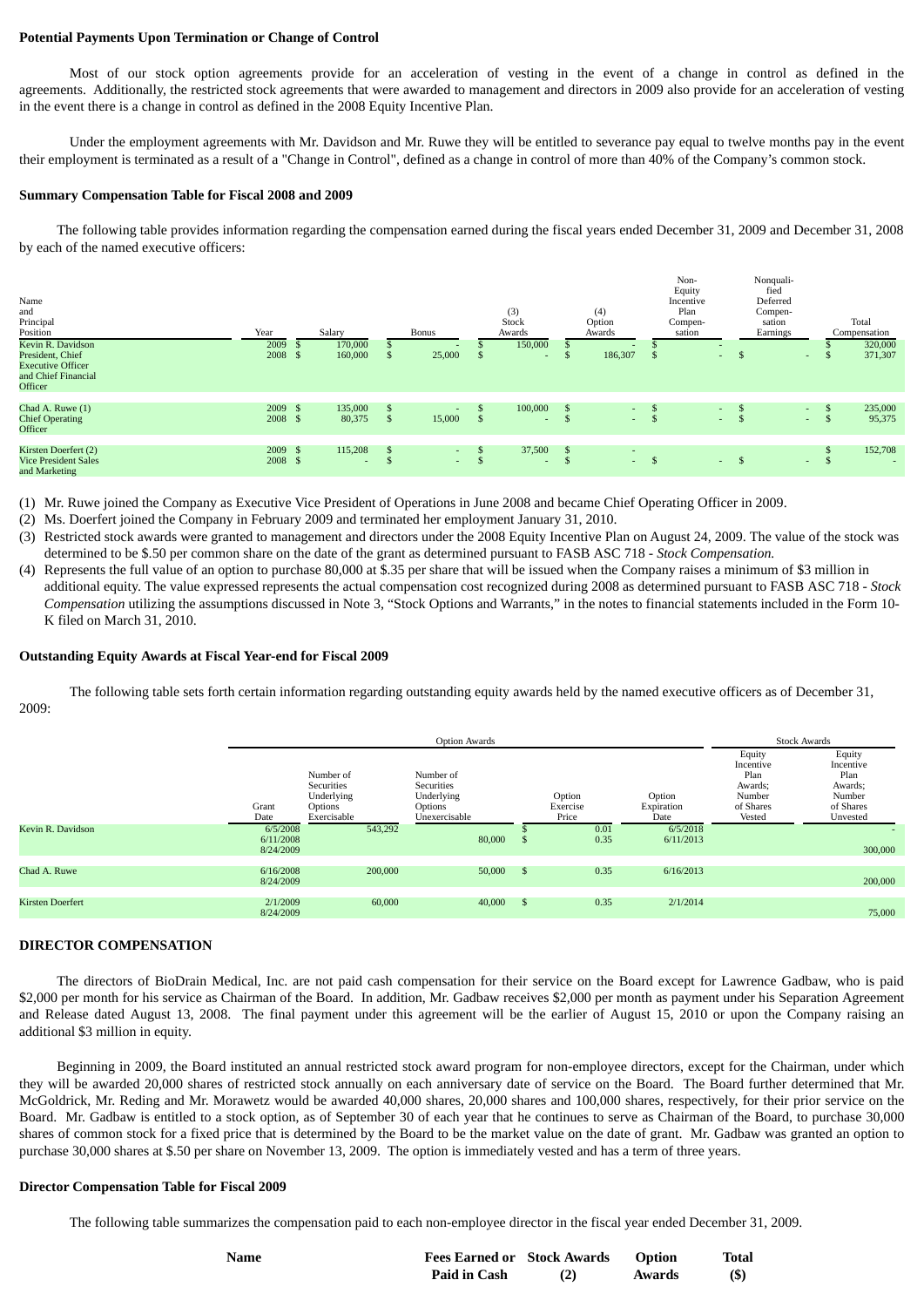## **Potential Payments Upon Termination or Change of Control**

Most of our stock option agreements provide for an acceleration of vesting in the event of a change in control as defined in the agreements. Additionally, the restricted stock agreements that were awarded to management and directors in 2009 also provide for an acceleration of vesting in the event there is a change in control as defined in the 2008 Equity Incentive Plan.

Under the employment agreements with Mr. Davidson and Mr. Ruwe they will be entitled to severance pay equal to twelve months pay in the event their employment is terminated as a result of a "Change in Control", defined as a change in control of more than 40% of the Company's common stock.

### **Summary Compensation Table for Fiscal 2008 and 2009**

The following table provides information regarding the compensation earned during the fiscal years ended December 31, 2009 and December 31, 2008 by each of the named executive officers:

| Name<br>and<br>Principal<br>Position<br>Kevin R. Davidson<br>President, Chief<br><b>Executive Officer</b><br>and Chief Financial<br>Officer | Year<br>2009<br>2008 \$ | Salary<br>170,000<br>160,000 |     | Bonus<br>25,000                    |               | (3)<br>Stock<br>Awards<br>150,000<br>$\sim$ | \$                   | (4)<br>Option<br>Awards<br>186,307     | - 5 | Non-<br>Equity<br>Incentive<br>Plan<br>Compen-<br>sation<br>$\sim$ | - J         | Nonquali-<br>fied<br>Deferred<br>Compen-<br>sation<br>Earnings<br>$\sim$ | ъ  | Total<br>Compensation<br>320,000<br>371,307 |
|---------------------------------------------------------------------------------------------------------------------------------------------|-------------------------|------------------------------|-----|------------------------------------|---------------|---------------------------------------------|----------------------|----------------------------------------|-----|--------------------------------------------------------------------|-------------|--------------------------------------------------------------------------|----|---------------------------------------------|
| Chad A. Ruwe (1)<br><b>Chief Operating</b><br><b>Officer</b>                                                                                | 2009 \$<br>2008 \$      | 135,000<br>80,375            | Э'n | $\overline{\phantom{a}}$<br>15,000 | $\mathcal{L}$ | 100,000<br>$\sim$                           | \$<br>$\mathfrak{F}$ | $\sim$<br>$\sim$                       |     | $\sim$<br>$\sim$                                                   | - J<br>Э'n, | $\sim$<br>$\sim$                                                         | Эħ | 235,000<br>95,375                           |
| Kirsten Doerfert (2)<br><b>Vice President Sales</b><br>and Marketing                                                                        | 2009 \$<br>2008 \$      | 115,208                      |     | $\sim$<br>$\sim$                   | $\mathcal{L}$ | 37,500<br>$\sim$                            | <sup>\$</sup><br>\$  | $\overline{\phantom{a}}$<br>$\sim$ $-$ | -\$ | $\sim$                                                             | -\$         | $\sim$                                                                   | Эħ | 152,708                                     |

(1) Mr. Ruwe joined the Company as Executive Vice President of Operations in June 2008 and became Chief Operating Officer in 2009.

- (2) Ms. Doerfert joined the Company in February 2009 and terminated her employment January 31, 2010.
- (3) Restricted stock awards were granted to management and directors under the 2008 Equity Incentive Plan on August 24, 2009. The value of the stock was determined to be \$.50 per common share on the date of the grant as determined pursuant to FASB ASC 718 - *Stock Compensation.*
- (4) Represents the full value of an option to purchase 80,000 at \$.35 per share that will be issued when the Company raises a minimum of \$3 million in additional equity. The value expressed represents the actual compensation cost recognized during 2008 as determined pursuant to FASB ASC 718 - *Stock Compensation* utilizing the assumptions discussed in Note 3, "Stock Options and Warrants," in the notes to financial statements included in the Form 10- K filed on March 31, 2010.

#### **Outstanding Equity Awards at Fiscal Year-end for Fiscal 2009**

The following table sets forth certain information regarding outstanding equity awards held by the named executive officers as of December 31, 2009:

|                         | <b>Option Awards</b>               |                                                                 |                                                                   |      |                             |                              | <b>Stock Awards</b>                                                     |                                                                           |  |
|-------------------------|------------------------------------|-----------------------------------------------------------------|-------------------------------------------------------------------|------|-----------------------------|------------------------------|-------------------------------------------------------------------------|---------------------------------------------------------------------------|--|
|                         | Grant<br>Date                      | Number of<br>Securities<br>Underlying<br>Options<br>Exercisable | Number of<br>Securities<br>Underlying<br>Options<br>Unexercisable |      | Option<br>Exercise<br>Price | Option<br>Expiration<br>Date | Equity<br>Incentive<br>Plan<br>Awards;<br>Number<br>of Shares<br>Vested | Equity<br>Incentive<br>Plan<br>Awards;<br>Number<br>of Shares<br>Unvested |  |
| Kevin R. Davidson       | 6/5/2008<br>6/11/2008<br>8/24/2009 | 543,292                                                         | 80,000                                                            |      | 0.01<br>0.35                | 6/5/2018<br>6/11/2013        |                                                                         | 300,000                                                                   |  |
| Chad A. Ruwe            | 6/16/2008<br>8/24/2009             | 200,000                                                         | 50,000                                                            | - \$ | 0.35                        | 6/16/2013                    |                                                                         | 200,000                                                                   |  |
| <b>Kirsten Doerfert</b> | 2/1/2009<br>8/24/2009              | 60,000                                                          | 40,000                                                            | -S   | 0.35                        | 2/1/2014                     |                                                                         | 75,000                                                                    |  |

#### **DIRECTOR COMPENSATION**

The directors of BioDrain Medical, Inc. are not paid cash compensation for their service on the Board except for Lawrence Gadbaw, who is paid \$2,000 per month for his service as Chairman of the Board. In addition, Mr. Gadbaw receives \$2,000 per month as payment under his Separation Agreement and Release dated August 13, 2008. The final payment under this agreement will be the earlier of August 15, 2010 or upon the Company raising an additional \$3 million in equity.

Beginning in 2009, the Board instituted an annual restricted stock award program for non-employee directors, except for the Chairman, under which they will be awarded 20,000 shares of restricted stock annually on each anniversary date of service on the Board. The Board further determined that Mr. McGoldrick, Mr. Reding and Mr. Morawetz would be awarded 40,000 shares, 20,000 shares and 100,000 shares, respectively, for their prior service on the Board. Mr. Gadbaw is entitled to a stock option, as of September 30 of each year that he continues to serve as Chairman of the Board, to purchase 30,000 shares of common stock for a fixed price that is determined by the Board to be the market value on the date of grant. Mr. Gadbaw was granted an option to purchase 30,000 shares at \$.50 per share on November 13, 2009. The option is immediately vested and has a term of three years.

#### **Director Compensation Table for Fiscal 2009**

The following table summarizes the compensation paid to each non-employee director in the fiscal year ended December 31, 2009.

| Name | <b>Fees Earned or Stock Awards</b> | <b>Option</b> | Total |
|------|------------------------------------|---------------|-------|
|      | <b>Paid in Cash</b>                | Awards        | (S)   |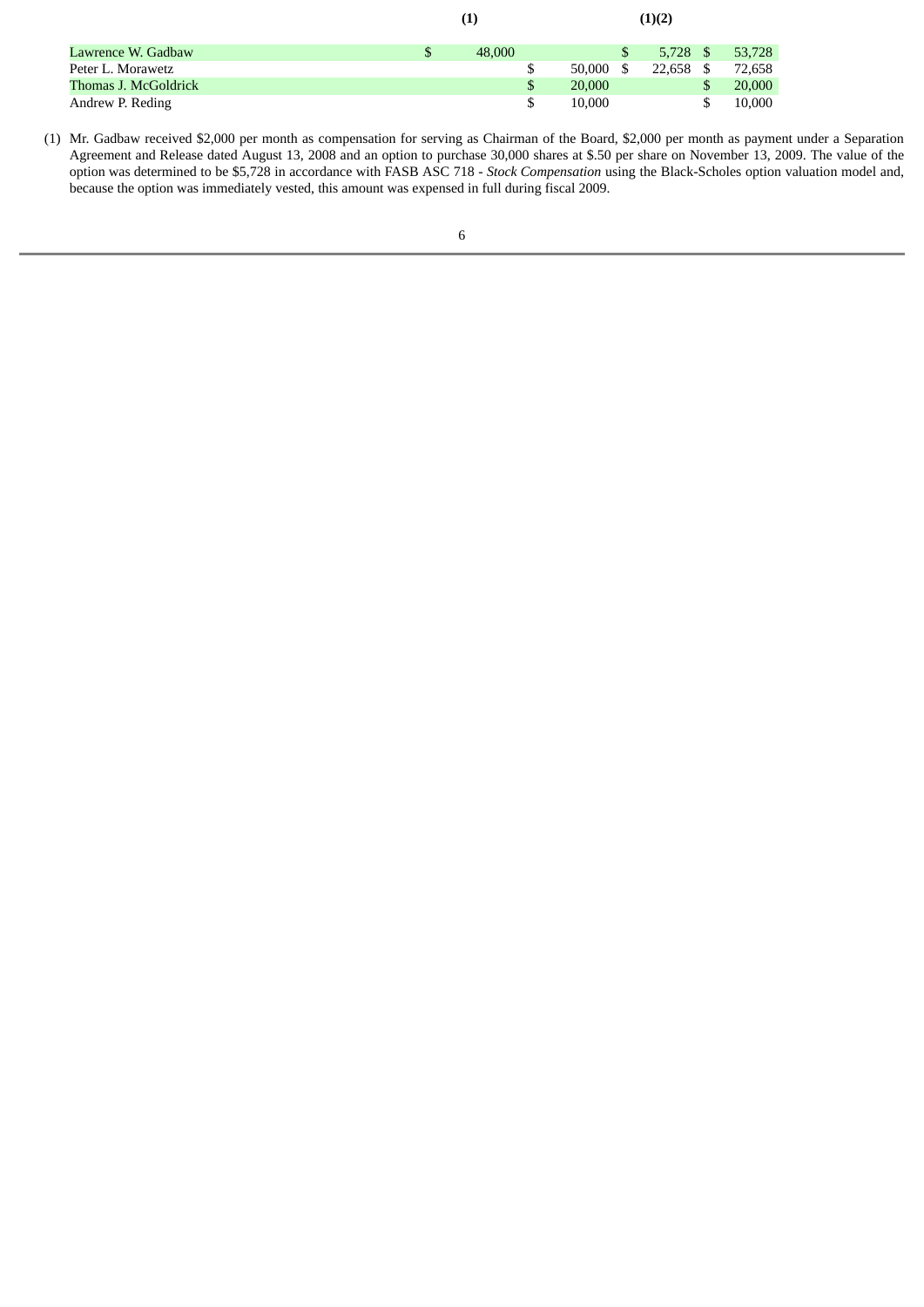|                      | (1)    |              |      | (1)(2)     |      |        |
|----------------------|--------|--------------|------|------------|------|--------|
| Lawrence W. Gadbaw   | 48,000 |              |      | $5.728$ \$ |      | 53,728 |
| Peter L. Morawetz    |        | 50.000       | - \$ | 22.658     | - \$ | 72.658 |
| Thomas J. McGoldrick |        | \$<br>20,000 |      |            | \$   | 20,000 |
| Andrew P. Reding     |        | \$<br>10.000 |      |            |      | 10,000 |

(1) Mr. Gadbaw received \$2,000 per month as compensation for serving as Chairman of the Board, \$2,000 per month as payment under a Separation Agreement and Release dated August 13, 2008 and an option to purchase 30,000 shares at \$.50 per share on November 13, 2009. The value of the option was determined to be \$5,728 in accordance with FASB ASC 718 - *Stock Compensation* using the Black-Scholes option valuation model and, because the option was immediately vested, this amount was expensed in full during fiscal 2009.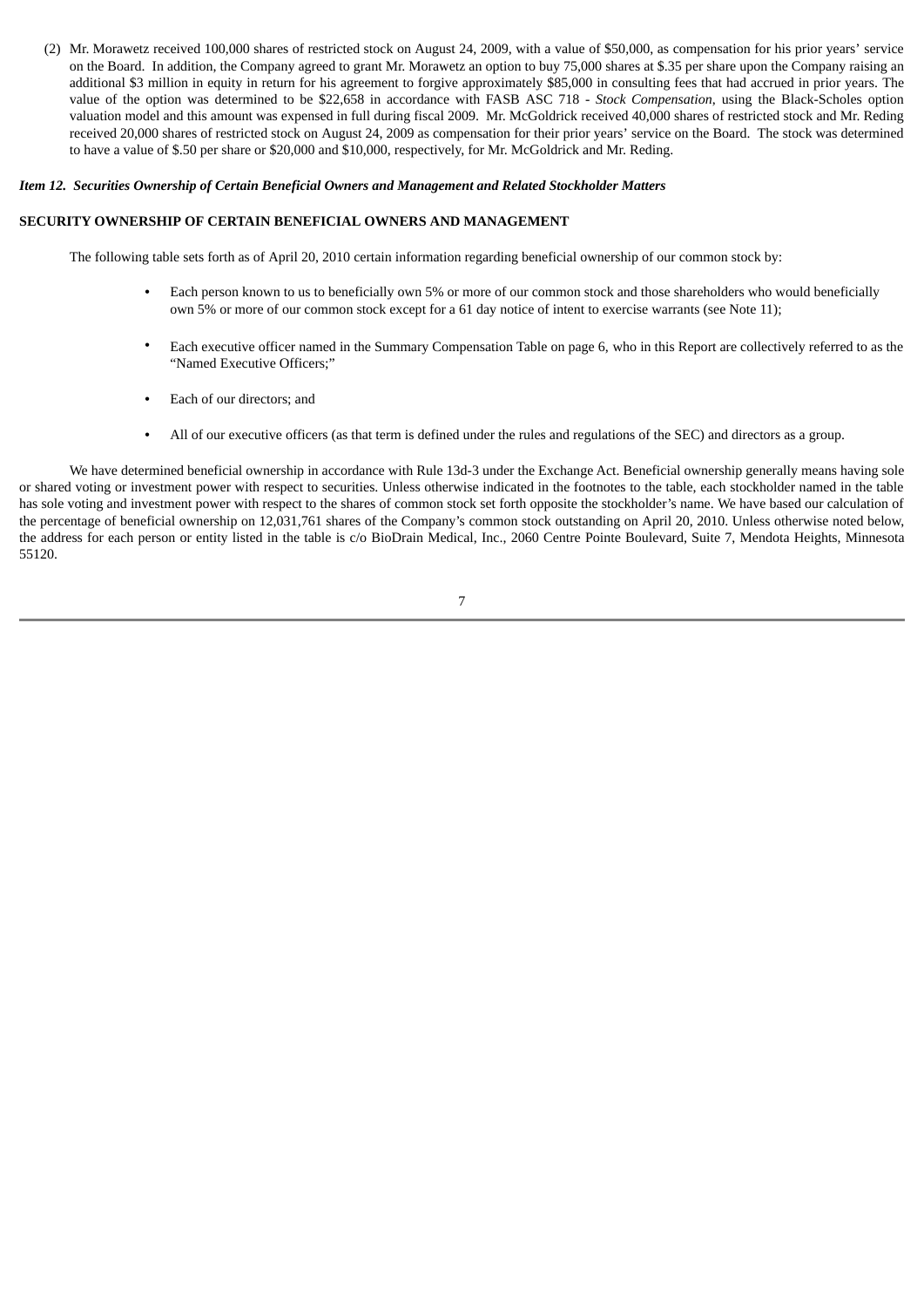(2) Mr. Morawetz received 100,000 shares of restricted stock on August 24, 2009, with a value of \$50,000, as compensation for his prior years' service on the Board. In addition, the Company agreed to grant Mr. Morawetz an option to buy 75,000 shares at \$.35 per share upon the Company raising an additional \$3 million in equity in return for his agreement to forgive approximately \$85,000 in consulting fees that had accrued in prior years. The value of the option was determined to be \$22,658 in accordance with FASB ASC 718 - *Stock Compensation*, using the Black-Scholes option valuation model and this amount was expensed in full during fiscal 2009. Mr. McGoldrick received 40,000 shares of restricted stock and Mr. Reding received 20,000 shares of restricted stock on August 24, 2009 as compensation for their prior years' service on the Board. The stock was determined to have a value of \$.50 per share or \$20,000 and \$10,000, respectively, for Mr. McGoldrick and Mr. Reding.

## *Item 12. Securities Ownership of Certain Beneficial Owners and Management and Related Stockholder Matters*

# **SECURITY OWNERSHIP OF CERTAIN BENEFICIAL OWNERS AND MANAGEMENT**

The following table sets forth as of April 20, 2010 certain information regarding beneficial ownership of our common stock by:

- **•** Each person known to us to beneficially own 5% or more of our common stock and those shareholders who would beneficially own 5% or more of our common stock except for a 61 day notice of intent to exercise warrants (see Note 11);
- **•** Each executive officer named in the Summary Compensation Table on page 6, who in this Report are collectively referred to as the "Named Executive Officers;"
- **•** Each of our directors; and
- **•** All of our executive officers (as that term is defined under the rules and regulations of the SEC) and directors as a group.

We have determined beneficial ownership in accordance with Rule 13d-3 under the Exchange Act. Beneficial ownership generally means having sole or shared voting or investment power with respect to securities. Unless otherwise indicated in the footnotes to the table, each stockholder named in the table has sole voting and investment power with respect to the shares of common stock set forth opposite the stockholder's name. We have based our calculation of the percentage of beneficial ownership on 12,031,761 shares of the Company's common stock outstanding on April 20, 2010. Unless otherwise noted below, the address for each person or entity listed in the table is c/o BioDrain Medical, Inc., 2060 Centre Pointe Boulevard, Suite 7, Mendota Heights, Minnesota 55120.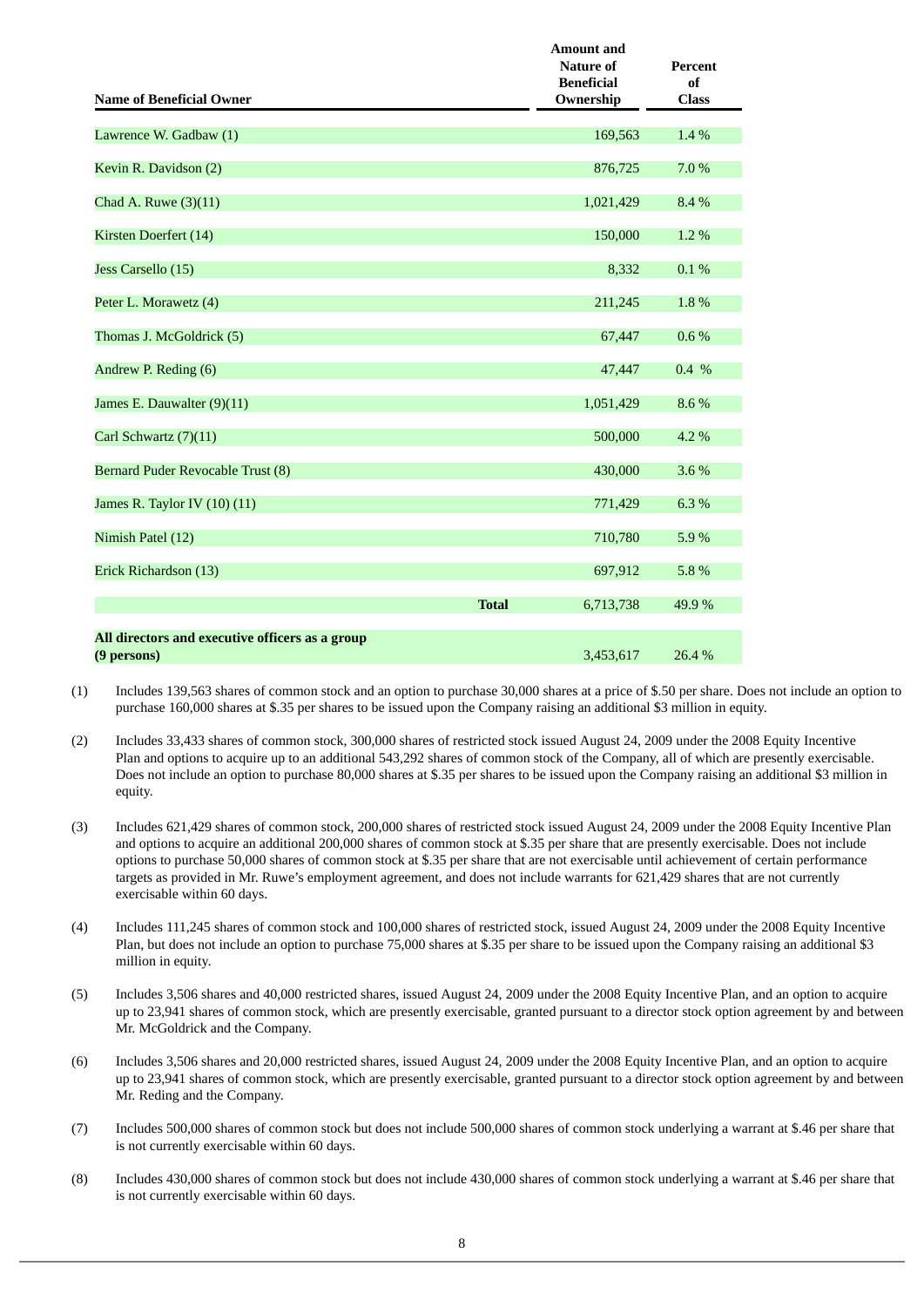| <b>Name of Beneficial Owner</b>                 |              | <b>Amount and</b><br><b>Nature of</b><br><b>Beneficial</b><br>Ownership | <b>Percent</b><br>of<br><b>Class</b> |
|-------------------------------------------------|--------------|-------------------------------------------------------------------------|--------------------------------------|
| Lawrence W. Gadbaw (1)                          |              | 169,563                                                                 | 1.4%                                 |
|                                                 |              |                                                                         |                                      |
| Kevin R. Davidson (2)                           |              | 876,725                                                                 | 7.0 %                                |
| Chad A. Ruwe (3)(11)                            |              | 1,021,429                                                               | 8.4%                                 |
| Kirsten Doerfert (14)                           |              | 150,000                                                                 | 1.2%                                 |
| Jess Carsello (15)                              |              | 8,332                                                                   | 0.1%                                 |
| Peter L. Morawetz (4)                           |              | 211,245                                                                 | 1.8%                                 |
| Thomas J. McGoldrick (5)                        |              | 67,447                                                                  | 0.6%                                 |
| Andrew P. Reding (6)                            |              | 47,447                                                                  | $0.4\%$                              |
| James E. Dauwalter (9)(11)                      |              | 1,051,429                                                               | 8.6%                                 |
| Carl Schwartz (7)(11)                           |              | 500,000                                                                 | 4.2 %                                |
| Bernard Puder Revocable Trust (8)               |              | 430,000                                                                 | 3.6%                                 |
| James R. Taylor IV (10) (11)                    |              | 771,429                                                                 | 6.3%                                 |
| Nimish Patel (12)                               |              | 710,780                                                                 | 5.9%                                 |
| Erick Richardson (13)                           |              | 697,912                                                                 | 5.8%                                 |
|                                                 | <b>Total</b> | 6,713,738                                                               | 49.9%                                |
| All directors and executive officers as a group |              |                                                                         |                                      |
| (9 persons)                                     |              | 3.453.617                                                               | 26.4%                                |

- (1) Includes 139,563 shares of common stock and an option to purchase 30,000 shares at a price of \$.50 per share. Does not include an option to purchase 160,000 shares at \$.35 per shares to be issued upon the Company raising an additional \$3 million in equity.
- (2) Includes 33,433 shares of common stock, 300,000 shares of restricted stock issued August 24, 2009 under the 2008 Equity Incentive Plan and options to acquire up to an additional 543,292 shares of common stock of the Company, all of which are presently exercisable. Does not include an option to purchase 80,000 shares at \$.35 per shares to be issued upon the Company raising an additional \$3 million in equity.
- (3) Includes 621,429 shares of common stock, 200,000 shares of restricted stock issued August 24, 2009 under the 2008 Equity Incentive Plan and options to acquire an additional 200,000 shares of common stock at \$.35 per share that are presently exercisable. Does not include options to purchase 50,000 shares of common stock at \$.35 per share that are not exercisable until achievement of certain performance targets as provided in Mr. Ruwe's employment agreement, and does not include warrants for 621,429 shares that are not currently exercisable within 60 days.
- (4) Includes 111,245 shares of common stock and 100,000 shares of restricted stock, issued August 24, 2009 under the 2008 Equity Incentive Plan, but does not include an option to purchase 75,000 shares at \$.35 per share to be issued upon the Company raising an additional \$3 million in equity.
- (5) Includes 3,506 shares and 40,000 restricted shares, issued August 24, 2009 under the 2008 Equity Incentive Plan, and an option to acquire up to 23,941 shares of common stock, which are presently exercisable, granted pursuant to a director stock option agreement by and between Mr. McGoldrick and the Company.
- (6) Includes 3,506 shares and 20,000 restricted shares, issued August 24, 2009 under the 2008 Equity Incentive Plan, and an option to acquire up to 23,941 shares of common stock, which are presently exercisable, granted pursuant to a director stock option agreement by and between Mr. Reding and the Company.
- (7) Includes 500,000 shares of common stock but does not include 500,000 shares of common stock underlying a warrant at \$.46 per share that is not currently exercisable within 60 days.
- (8) Includes 430,000 shares of common stock but does not include 430,000 shares of common stock underlying a warrant at \$.46 per share that is not currently exercisable within 60 days.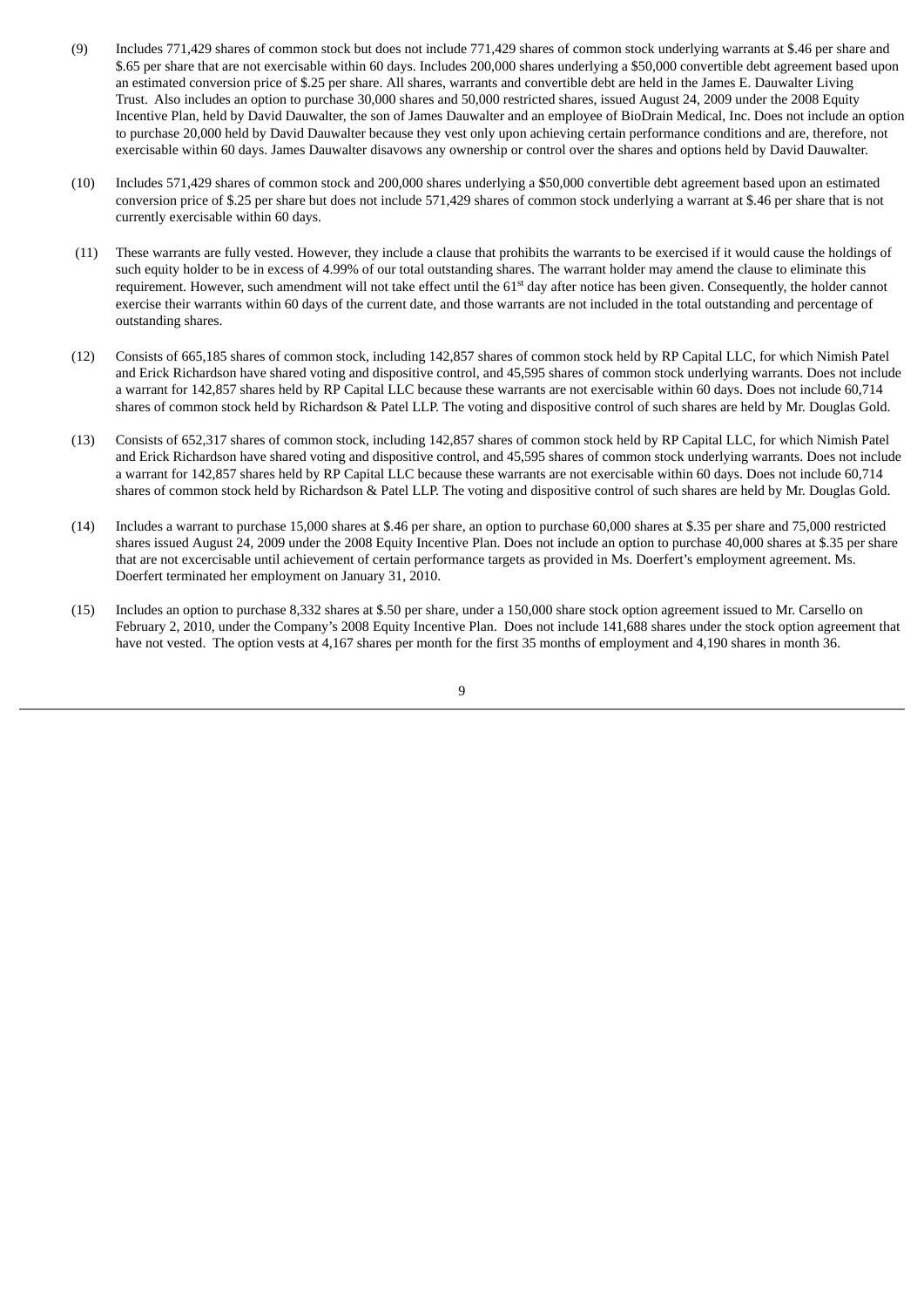- (9) Includes 771,429 shares of common stock but does not include 771,429 shares of common stock underlying warrants at \$.46 per share and \$.65 per share that are not exercisable within 60 days. Includes 200,000 shares underlying a \$50,000 convertible debt agreement based upon an estimated conversion price of \$.25 per share. All shares, warrants and convertible debt are held in the James E. Dauwalter Living Trust. Also includes an option to purchase 30,000 shares and 50,000 restricted shares, issued August 24, 2009 under the 2008 Equity Incentive Plan, held by David Dauwalter, the son of James Dauwalter and an employee of BioDrain Medical, Inc. Does not include an option to purchase 20,000 held by David Dauwalter because they vest only upon achieving certain performance conditions and are, therefore, not exercisable within 60 days. James Dauwalter disavows any ownership or control over the shares and options held by David Dauwalter.
- (10) Includes 571,429 shares of common stock and 200,000 shares underlying a \$50,000 convertible debt agreement based upon an estimated conversion price of \$.25 per share but does not include 571,429 shares of common stock underlying a warrant at \$.46 per share that is not currently exercisable within 60 days.
- (11) These warrants are fully vested. However, they include a clause that prohibits the warrants to be exercised if it would cause the holdings of such equity holder to be in excess of 4.99% of our total outstanding shares. The warrant holder may amend the clause to eliminate this requirement. However, such amendment will not take effect until the 61<sup>st</sup> day after notice has been given. Consequently, the holder cannot exercise their warrants within 60 days of the current date, and those warrants are not included in the total outstanding and percentage of outstanding shares.
- (12) Consists of 665,185 shares of common stock, including 142,857 shares of common stock held by RP Capital LLC, for which Nimish Patel and Erick Richardson have shared voting and dispositive control, and 45,595 shares of common stock underlying warrants. Does not include a warrant for 142,857 shares held by RP Capital LLC because these warrants are not exercisable within 60 days. Does not include 60,714 shares of common stock held by Richardson & Patel LLP. The voting and dispositive control of such shares are held by Mr. Douglas Gold.
- (13) Consists of 652,317 shares of common stock, including 142,857 shares of common stock held by RP Capital LLC, for which Nimish Patel and Erick Richardson have shared voting and dispositive control, and 45,595 shares of common stock underlying warrants. Does not include a warrant for 142,857 shares held by RP Capital LLC because these warrants are not exercisable within 60 days. Does not include 60,714 shares of common stock held by Richardson & Patel LLP. The voting and dispositive control of such shares are held by Mr. Douglas Gold.
- (14) Includes a warrant to purchase 15,000 shares at \$.46 per share, an option to purchase 60,000 shares at \$.35 per share and 75,000 restricted shares issued August 24, 2009 under the 2008 Equity Incentive Plan. Does not include an option to purchase 40,000 shares at \$.35 per share that are not excercisable until achievement of certain performance targets as provided in Ms. Doerfert's employment agreement. Ms. Doerfert terminated her employment on January 31, 2010.
- (15) Includes an option to purchase 8,332 shares at \$.50 per share, under a 150,000 share stock option agreement issued to Mr. Carsello on February 2, 2010, under the Company's 2008 Equity Incentive Plan. Does not include 141,688 shares under the stock option agreement that have not vested. The option vests at 4,167 shares per month for the first 35 months of employment and 4,190 shares in month 36.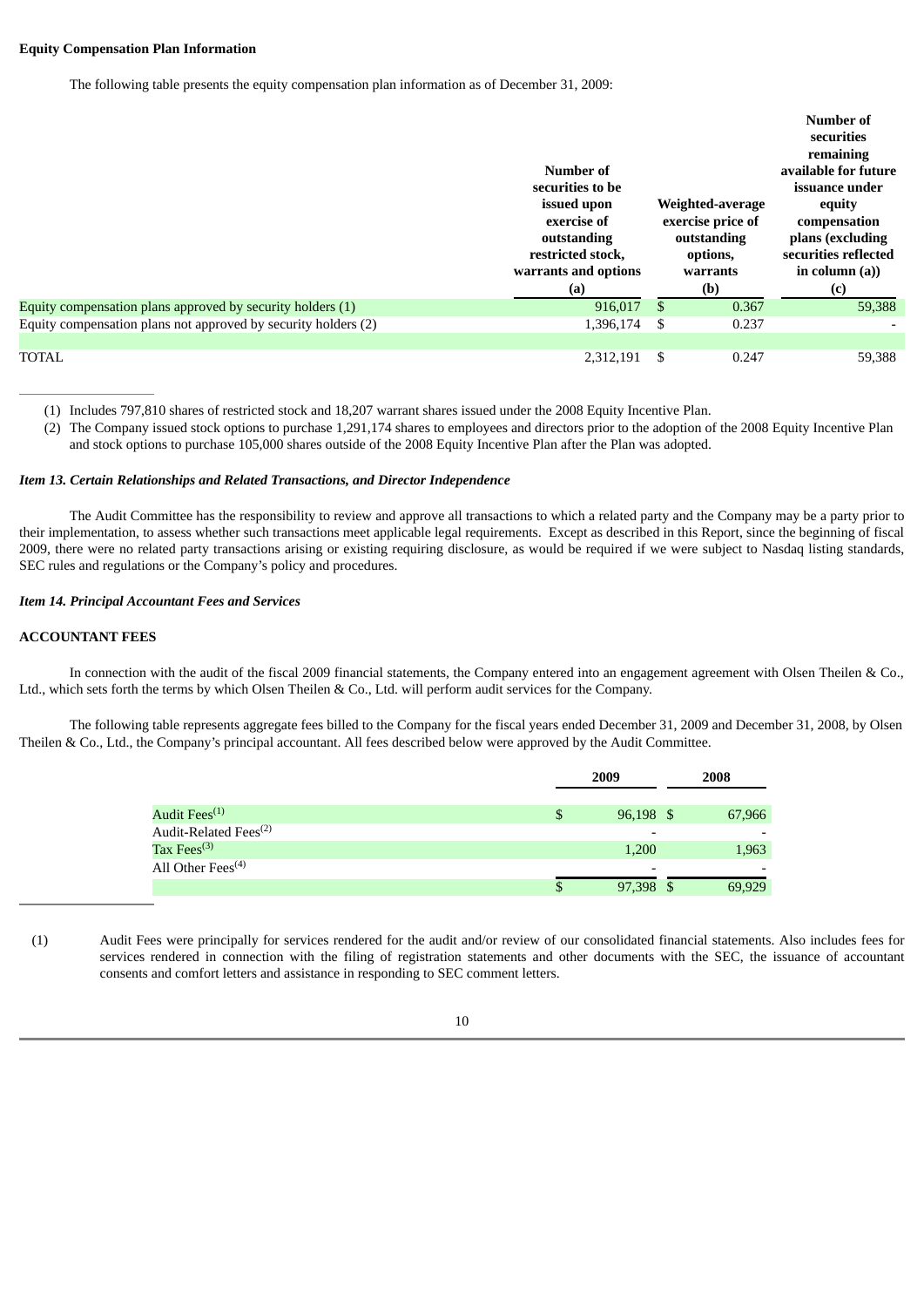### **Equity Compensation Plan Information**

The following table presents the equity compensation plan information as of December 31, 2009:

|                                                                | Number of<br>securities to be<br>issued upon<br>exercise of<br>outstanding<br>restricted stock,<br>warrants and options |               | Weighted-average<br>exercise price of<br>outstanding<br>options,<br>warrants | Number of<br>securities<br>remaining<br>available for future<br>issuance under<br>equity<br>compensation<br>plans (excluding<br>securities reflected<br>in column $(a)$ ) |
|----------------------------------------------------------------|-------------------------------------------------------------------------------------------------------------------------|---------------|------------------------------------------------------------------------------|---------------------------------------------------------------------------------------------------------------------------------------------------------------------------|
|                                                                | (a)                                                                                                                     |               | (b)                                                                          | (c)                                                                                                                                                                       |
| Equity compensation plans approved by security holders (1)     | 916,017                                                                                                                 | <sup>\$</sup> | 0.367                                                                        | 59,388                                                                                                                                                                    |
| Equity compensation plans not approved by security holders (2) | 1,396,174                                                                                                               | S             | 0.237                                                                        |                                                                                                                                                                           |
|                                                                |                                                                                                                         |               |                                                                              |                                                                                                                                                                           |

(1) Includes 797,810 shares of restricted stock and 18,207 warrant shares issued under the 2008 Equity Incentive Plan.

(2) The Company issued stock options to purchase 1,291,174 shares to employees and directors prior to the adoption of the 2008 Equity Incentive Plan and stock options to purchase 105,000 shares outside of the 2008 Equity Incentive Plan after the Plan was adopted.

### *Item 13. Certain Relationships and Related Transactions, and Director Independence*

The Audit Committee has the responsibility to review and approve all transactions to which a related party and the Company may be a party prior to their implementation, to assess whether such transactions meet applicable legal requirements. Except as described in this Report, since the beginning of fiscal 2009, there were no related party transactions arising or existing requiring disclosure, as would be required if we were subject to Nasdaq listing standards, SEC rules and regulations or the Company's policy and procedures.

## *Item 14. Principal Accountant Fees and Services*

# **ACCOUNTANT FEES**

In connection with the audit of the fiscal 2009 financial statements, the Company entered into an engagement agreement with Olsen Theilen & Co., Ltd., which sets forth the terms by which Olsen Theilen & Co., Ltd. will perform audit services for the Company.

The following table represents aggregate fees billed to the Company for the fiscal years ended December 31, 2009 and December 31, 2008, by Olsen Theilen & Co., Ltd., the Company's principal accountant. All fees described below were approved by the Audit Committee.

|                                   |   | 2009                     | 2008 |                          |  |
|-----------------------------------|---|--------------------------|------|--------------------------|--|
| Audit Fees <sup>(1)</sup>         |   | 96,198 \$                |      | 67,966                   |  |
| Audit-Related Fees <sup>(2)</sup> |   | $\overline{\phantom{a}}$ |      |                          |  |
| Tax Fees <sup>(3)</sup>           |   | 1,200                    |      | 1,963                    |  |
| All Other Fees <sup>(4)</sup>     |   | $\overline{\phantom{a}}$ |      | $\overline{\phantom{0}}$ |  |
|                                   | Φ | 97,398                   |      | 69,929                   |  |

(1) Audit Fees were principally for services rendered for the audit and/or review of our consolidated financial statements. Also includes fees for services rendered in connection with the filing of registration statements and other documents with the SEC, the issuance of accountant consents and comfort letters and assistance in responding to SEC comment letters.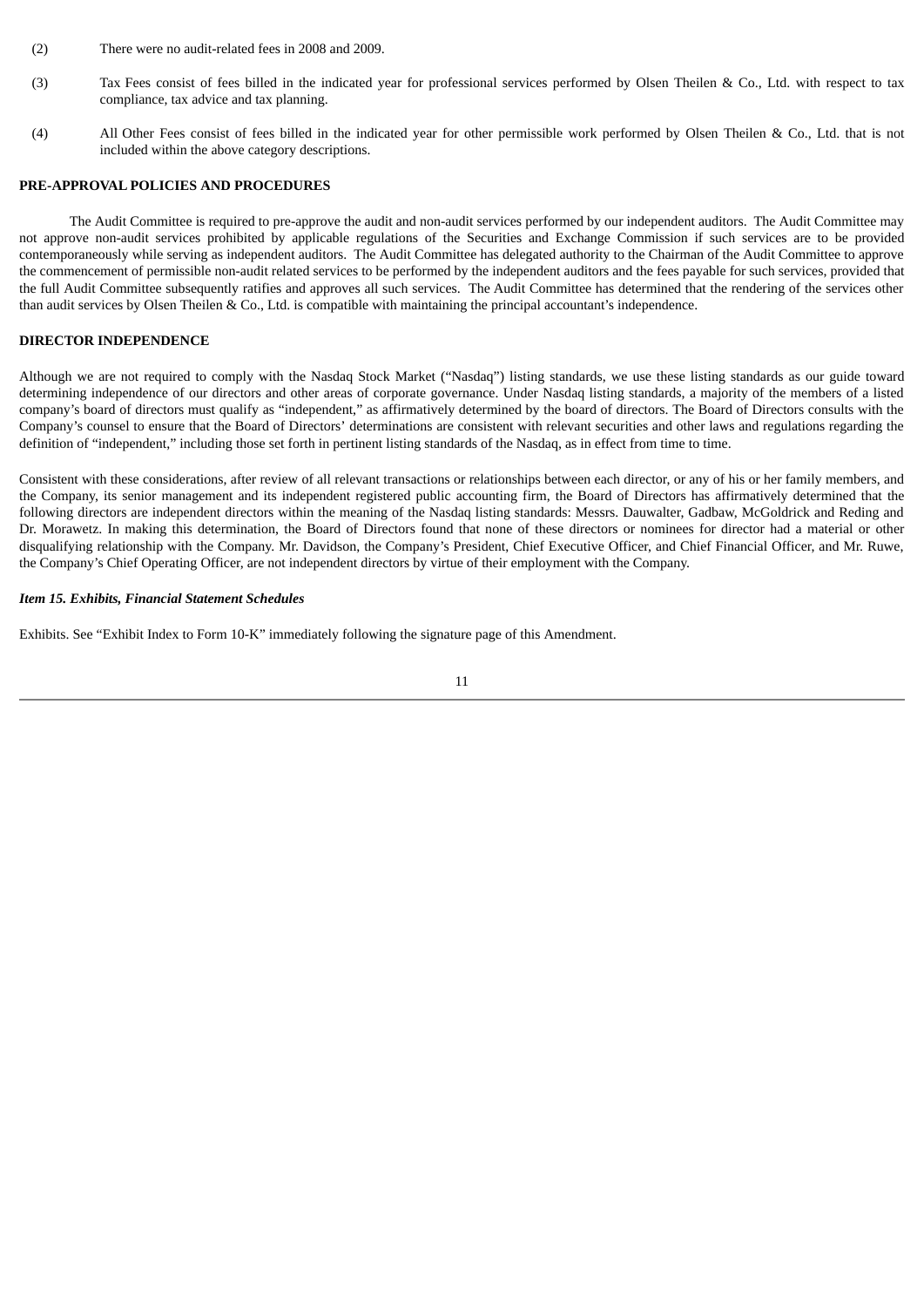- (2) There were no audit-related fees in 2008 and 2009.
- (3) Tax Fees consist of fees billed in the indicated year for professional services performed by Olsen Theilen & Co., Ltd. with respect to tax compliance, tax advice and tax planning.
- (4) All Other Fees consist of fees billed in the indicated year for other permissible work performed by Olsen Theilen & Co., Ltd. that is not included within the above category descriptions.

## **PRE-APPROVAL POLICIES AND PROCEDURES**

The Audit Committee is required to pre-approve the audit and non-audit services performed by our independent auditors. The Audit Committee may not approve non-audit services prohibited by applicable regulations of the Securities and Exchange Commission if such services are to be provided contemporaneously while serving as independent auditors. The Audit Committee has delegated authority to the Chairman of the Audit Committee to approve the commencement of permissible non-audit related services to be performed by the independent auditors and the fees payable for such services, provided that the full Audit Committee subsequently ratifies and approves all such services. The Audit Committee has determined that the rendering of the services other than audit services by Olsen Theilen & Co., Ltd. is compatible with maintaining the principal accountant's independence.

### **DIRECTOR INDEPENDENCE**

Although we are not required to comply with the Nasdaq Stock Market ("Nasdaq") listing standards, we use these listing standards as our guide toward determining independence of our directors and other areas of corporate governance. Under Nasdaq listing standards, a majority of the members of a listed company's board of directors must qualify as "independent," as affirmatively determined by the board of directors. The Board of Directors consults with the Company's counsel to ensure that the Board of Directors' determinations are consistent with relevant securities and other laws and regulations regarding the definition of "independent," including those set forth in pertinent listing standards of the Nasdaq, as in effect from time to time.

Consistent with these considerations, after review of all relevant transactions or relationships between each director, or any of his or her family members, and the Company, its senior management and its independent registered public accounting firm, the Board of Directors has affirmatively determined that the following directors are independent directors within the meaning of the Nasdaq listing standards: Messrs. Dauwalter, Gadbaw, McGoldrick and Reding and Dr. Morawetz. In making this determination, the Board of Directors found that none of these directors or nominees for director had a material or other disqualifying relationship with the Company. Mr. Davidson, the Company's President, Chief Executive Officer, and Chief Financial Officer, and Mr. Ruwe, the Company's Chief Operating Officer, are not independent directors by virtue of their employment with the Company.

#### *Item 15. Exhibits, Financial Statement Schedules*

Exhibits. See "Exhibit Index to Form 10-K" immediately following the signature page of this Amendment.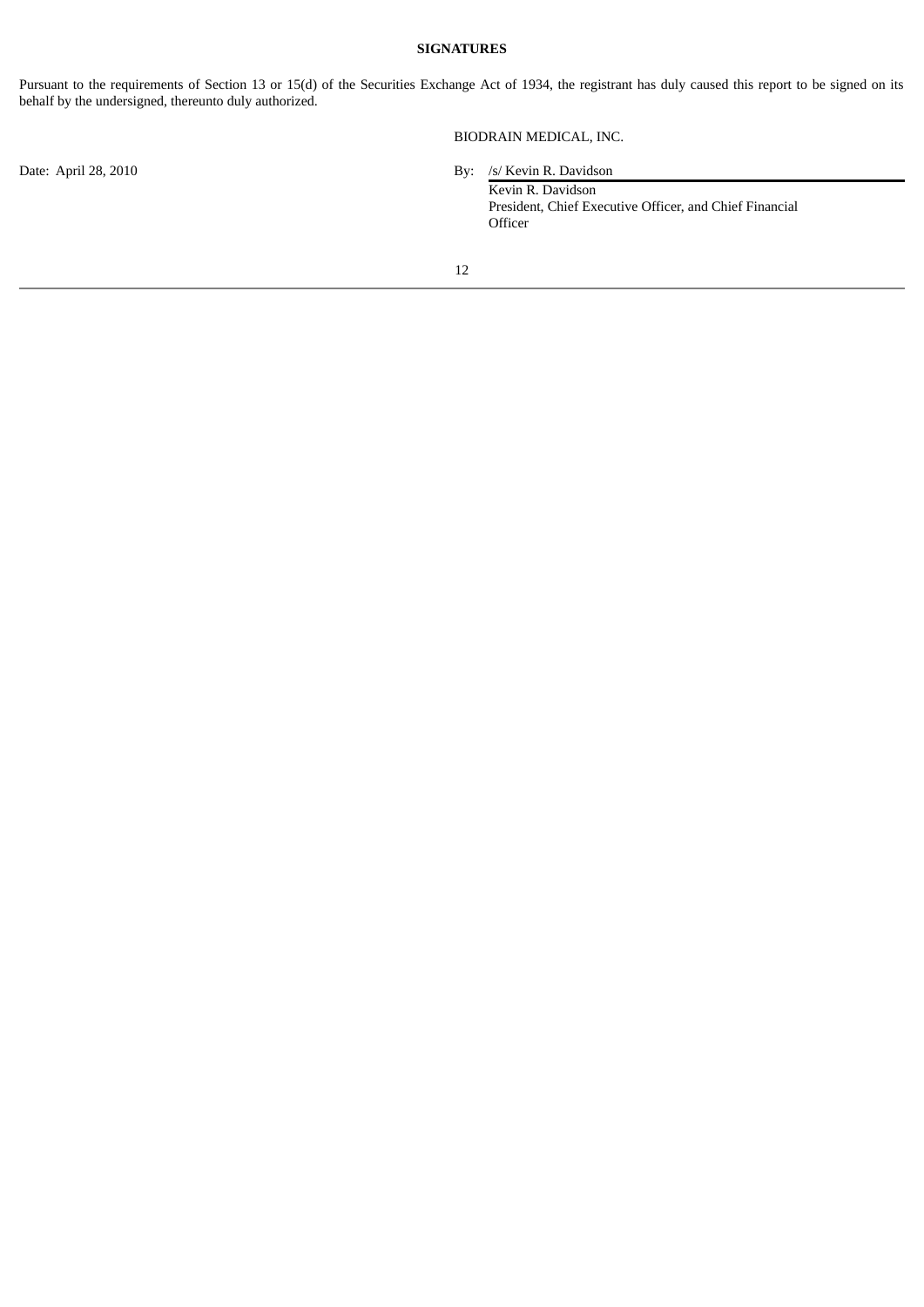## **SIGNATURES**

Pursuant to the requirements of Section 13 or 15(d) of the Securities Exchange Act of 1934, the registrant has duly caused this report to be signed on its behalf by the undersigned, thereunto duly authorized.

BIODRAIN MEDICAL, INC.

Date: April 28, 2010 By: /s/ Kevin R. Davidson

Kevin R. Davidson President, Chief Executive Officer, and Chief Financial Officer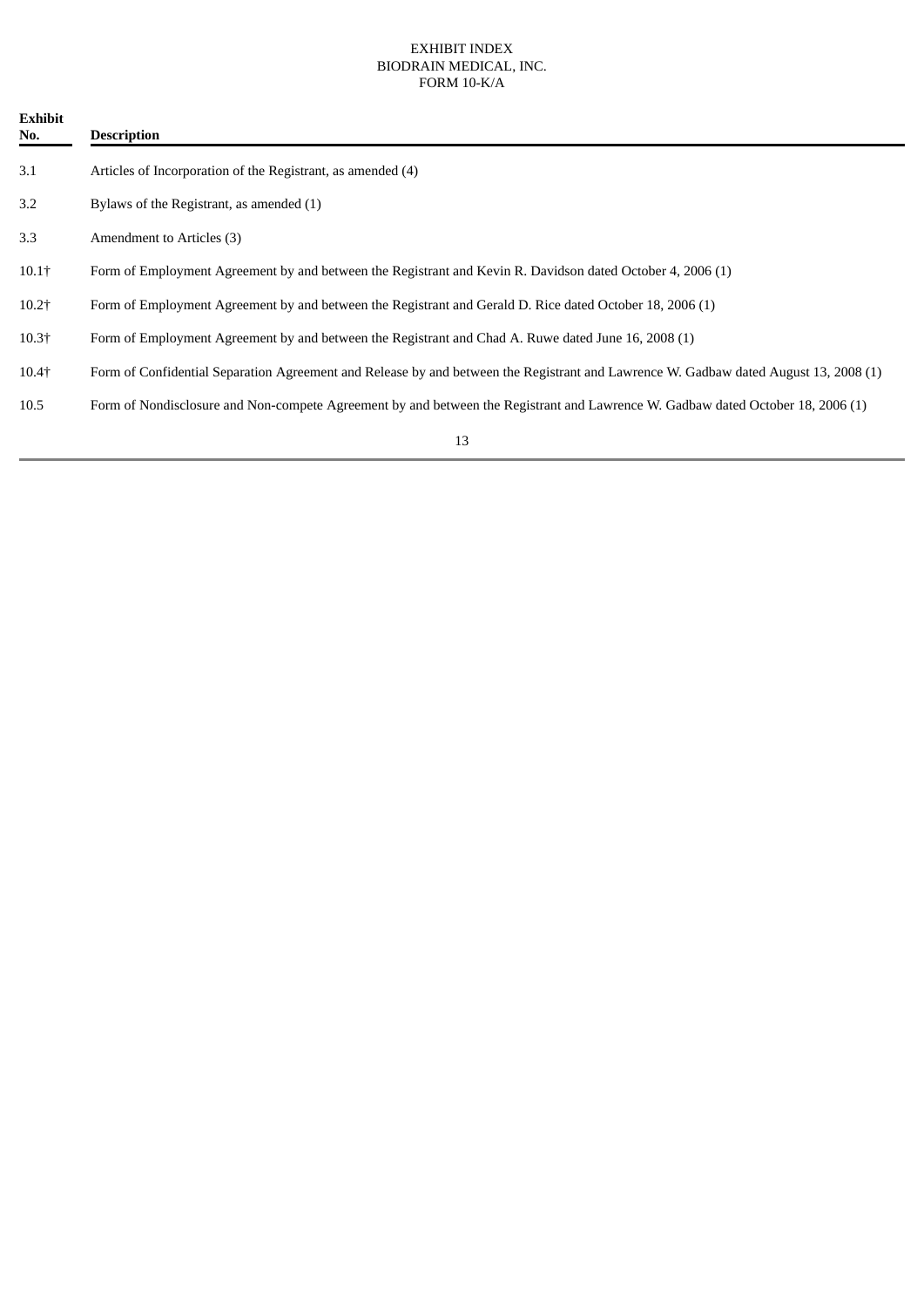# EXHIBIT INDEX BIODRAIN MEDICAL, INC. FORM 10-K/A

| <b>Exhibit</b><br>No. | <b>Description</b>                                                                                                                   |
|-----------------------|--------------------------------------------------------------------------------------------------------------------------------------|
| 3.1                   | Articles of Incorporation of the Registrant, as amended (4)                                                                          |
| 3.2                   | Bylaws of the Registrant, as amended (1)                                                                                             |
| 3.3                   | Amendment to Articles (3)                                                                                                            |
| $10.1+$               | Form of Employment Agreement by and between the Registrant and Kevin R. Davidson dated October 4, 2006 (1)                           |
| $10.2 +$              | Form of Employment Agreement by and between the Registrant and Gerald D. Rice dated October 18, 2006 (1)                             |
| $10.3+$               | Form of Employment Agreement by and between the Registrant and Chad A. Ruwe dated June 16, 2008 (1)                                  |
| $10.4+$               | Form of Confidential Separation Agreement and Release by and between the Registrant and Lawrence W. Gadbaw dated August 13, 2008 (1) |
| 10.5                  | Form of Nondisclosure and Non-compete Agreement by and between the Registrant and Lawrence W. Gadbaw dated October 18, 2006 (1)      |
|                       | 13                                                                                                                                   |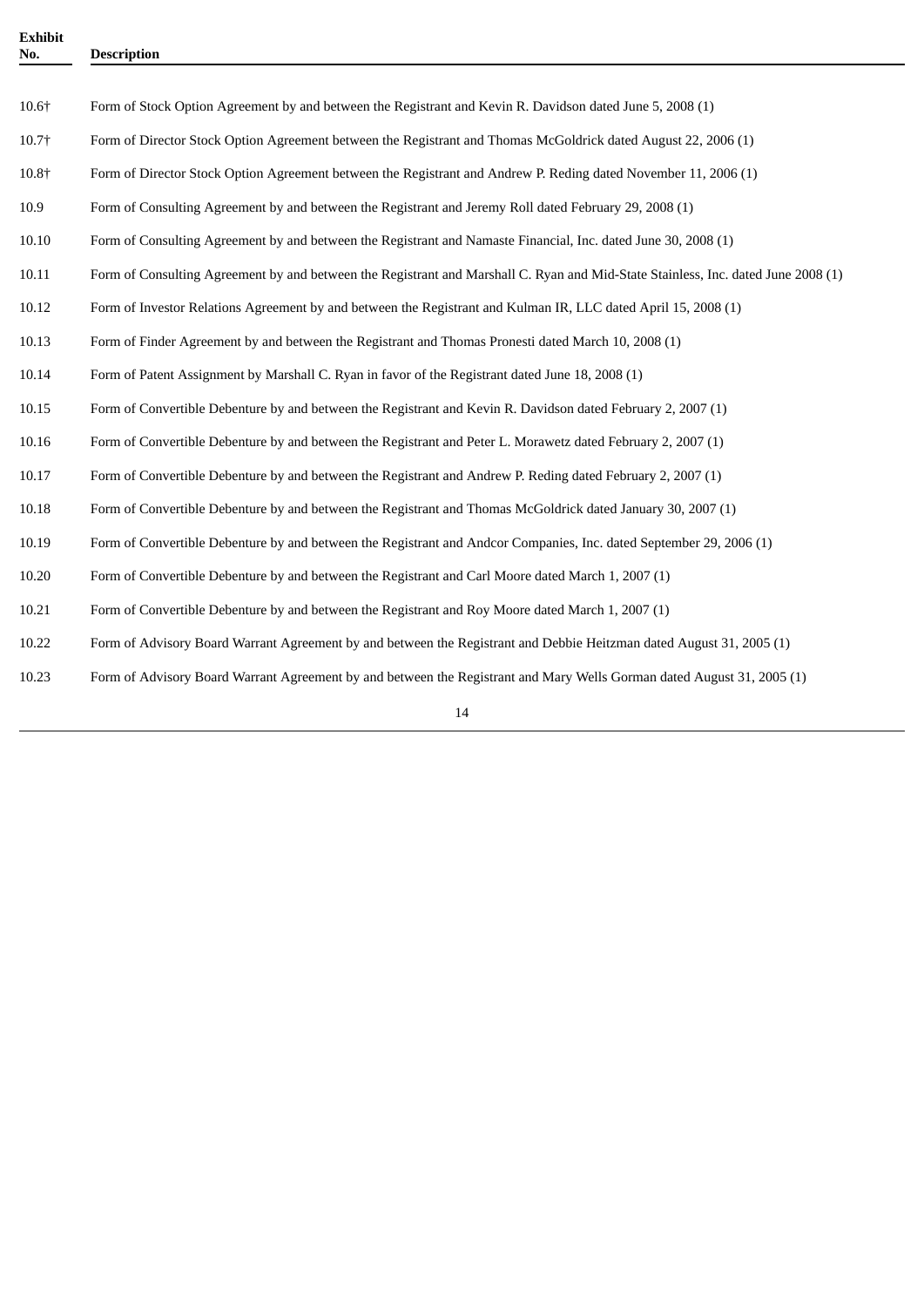| <b>Exhibit</b><br>No. | <b>Description</b>                                                                                                                |  |  |
|-----------------------|-----------------------------------------------------------------------------------------------------------------------------------|--|--|
|                       |                                                                                                                                   |  |  |
| 10.6†                 | Form of Stock Option Agreement by and between the Registrant and Kevin R. Davidson dated June 5, 2008 (1)                         |  |  |
| 10.7†                 | Form of Director Stock Option Agreement between the Registrant and Thomas McGoldrick dated August 22, 2006 (1)                    |  |  |
| 10.8+                 | Form of Director Stock Option Agreement between the Registrant and Andrew P. Reding dated November 11, 2006 (1)                   |  |  |
| 10.9                  | Form of Consulting Agreement by and between the Registrant and Jeremy Roll dated February 29, 2008 (1)                            |  |  |
| 10.10                 | Form of Consulting Agreement by and between the Registrant and Namaste Financial, Inc. dated June 30, 2008 (1)                    |  |  |
| 10.11                 | Form of Consulting Agreement by and between the Registrant and Marshall C. Ryan and Mid-State Stainless, Inc. dated June 2008 (1) |  |  |
| 10.12                 | Form of Investor Relations Agreement by and between the Registrant and Kulman IR, LLC dated April 15, 2008 (1)                    |  |  |
| 10.13                 | Form of Finder Agreement by and between the Registrant and Thomas Pronesti dated March 10, 2008 (1)                               |  |  |
| 10.14                 | Form of Patent Assignment by Marshall C. Ryan in favor of the Registrant dated June 18, 2008 (1)                                  |  |  |
| 10.15                 | Form of Convertible Debenture by and between the Registrant and Kevin R. Davidson dated February 2, 2007 (1)                      |  |  |
| 10.16                 | Form of Convertible Debenture by and between the Registrant and Peter L. Morawetz dated February 2, 2007 (1)                      |  |  |
| 10.17                 | Form of Convertible Debenture by and between the Registrant and Andrew P. Reding dated February 2, 2007 (1)                       |  |  |
| 10.18                 | Form of Convertible Debenture by and between the Registrant and Thomas McGoldrick dated January 30, 2007 (1)                      |  |  |
| 10.19                 | Form of Convertible Debenture by and between the Registrant and Andcor Companies, Inc. dated September 29, 2006 (1)               |  |  |
| 10.20                 | Form of Convertible Debenture by and between the Registrant and Carl Moore dated March 1, 2007 (1)                                |  |  |
| 10.21                 | Form of Convertible Debenture by and between the Registrant and Roy Moore dated March 1, 2007 (1)                                 |  |  |
| 10.22                 | Form of Advisory Board Warrant Agreement by and between the Registrant and Debbie Heitzman dated August 31, 2005 (1)              |  |  |
| 10.23                 | Form of Advisory Board Warrant Agreement by and between the Registrant and Mary Wells Gorman dated August 31, 2005 (1)            |  |  |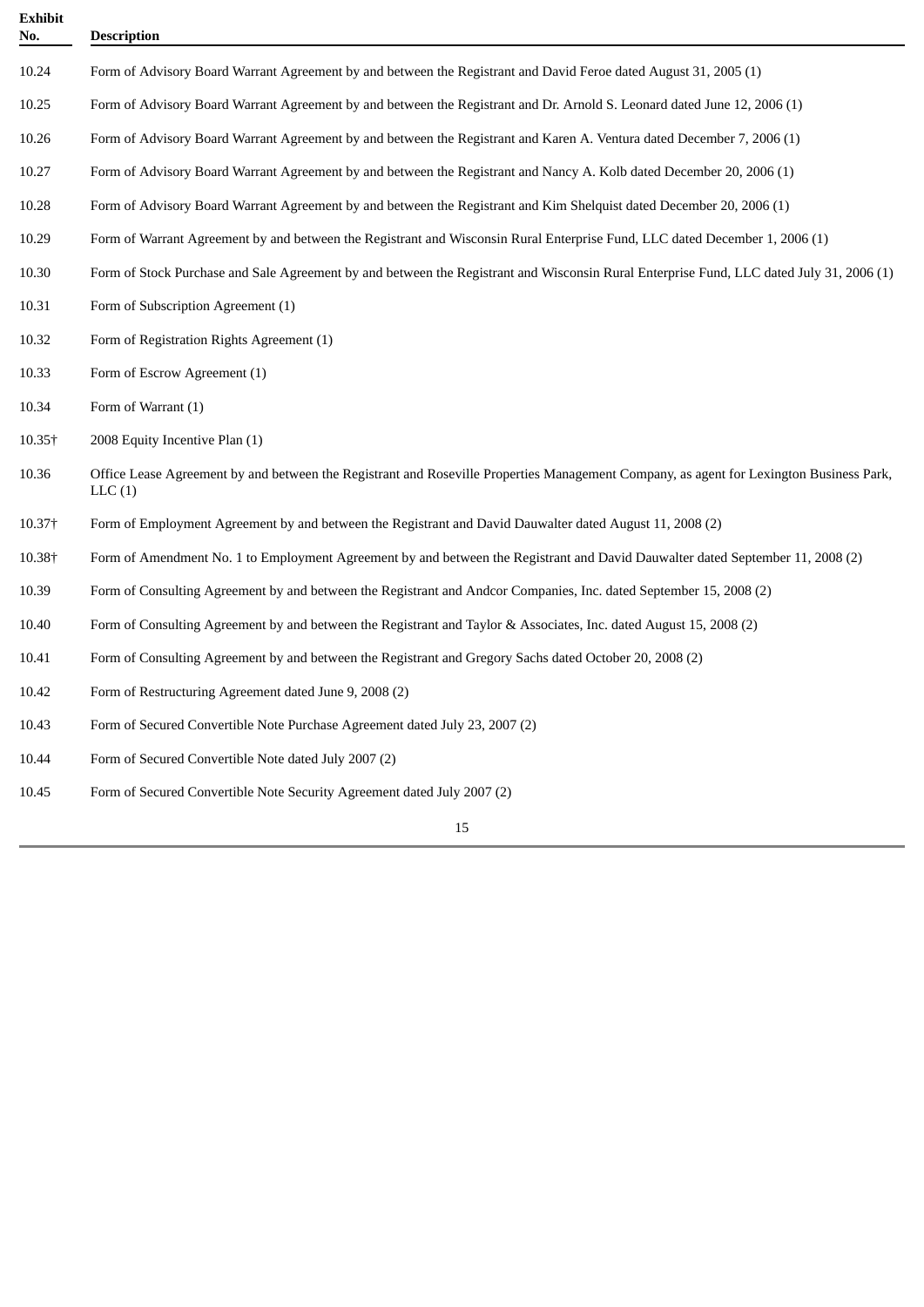| <b>Exhibit</b><br>No. | <b>Description</b>                                                                                                                                |  |
|-----------------------|---------------------------------------------------------------------------------------------------------------------------------------------------|--|
| 10.24                 | Form of Advisory Board Warrant Agreement by and between the Registrant and David Feroe dated August 31, 2005 (1)                                  |  |
| 10.25                 | Form of Advisory Board Warrant Agreement by and between the Registrant and Dr. Arnold S. Leonard dated June 12, 2006 (1)                          |  |
| 10.26                 | Form of Advisory Board Warrant Agreement by and between the Registrant and Karen A. Ventura dated December 7, 2006 (1)                            |  |
| 10.27                 | Form of Advisory Board Warrant Agreement by and between the Registrant and Nancy A. Kolb dated December 20, 2006 (1)                              |  |
| 10.28                 | Form of Advisory Board Warrant Agreement by and between the Registrant and Kim Shelquist dated December 20, 2006 (1)                              |  |
| 10.29                 | Form of Warrant Agreement by and between the Registrant and Wisconsin Rural Enterprise Fund, LLC dated December 1, 2006 (1)                       |  |
| 10.30                 | Form of Stock Purchase and Sale Agreement by and between the Registrant and Wisconsin Rural Enterprise Fund, LLC dated July 31, 2006 (1)          |  |
| 10.31                 | Form of Subscription Agreement (1)                                                                                                                |  |
| 10.32                 | Form of Registration Rights Agreement (1)                                                                                                         |  |
| 10.33                 | Form of Escrow Agreement (1)                                                                                                                      |  |
| 10.34                 | Form of Warrant (1)                                                                                                                               |  |
| 10.35†                | 2008 Equity Incentive Plan (1)                                                                                                                    |  |
| 10.36                 | Office Lease Agreement by and between the Registrant and Roseville Properties Management Company, as agent for Lexington Business Park,<br>LLC(1) |  |
| 10.37†                | Form of Employment Agreement by and between the Registrant and David Dauwalter dated August 11, 2008 (2)                                          |  |
| 10.38+                | Form of Amendment No. 1 to Employment Agreement by and between the Registrant and David Dauwalter dated September 11, 2008 (2)                    |  |
| 10.39                 | Form of Consulting Agreement by and between the Registrant and Andcor Companies, Inc. dated September 15, 2008 (2)                                |  |
| 10.40                 | Form of Consulting Agreement by and between the Registrant and Taylor & Associates, Inc. dated August 15, 2008 (2)                                |  |
| 10.41                 | Form of Consulting Agreement by and between the Registrant and Gregory Sachs dated October 20, 2008 (2)                                           |  |
| 10.42                 | Form of Restructuring Agreement dated June 9, 2008 (2)                                                                                            |  |
| 10.43                 | Form of Secured Convertible Note Purchase Agreement dated July 23, 2007 (2)                                                                       |  |
| 10.44                 | Form of Secured Convertible Note dated July 2007 (2)                                                                                              |  |
| 10.45                 | Form of Secured Convertible Note Security Agreement dated July 2007 (2)                                                                           |  |
|                       | 15                                                                                                                                                |  |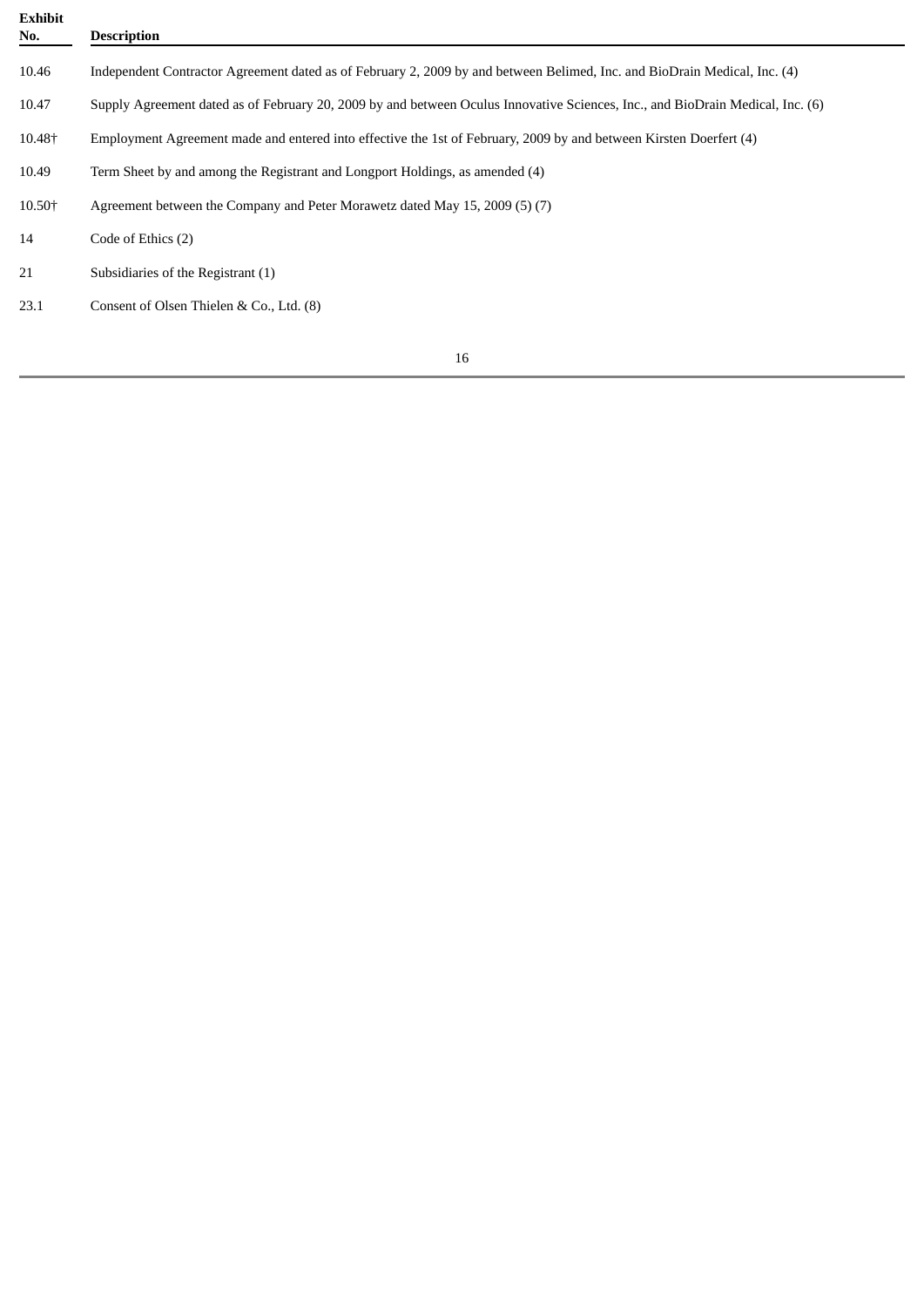| <b>Exhibit</b><br>No. | <b>Description</b>                                                                                                             |  |  |
|-----------------------|--------------------------------------------------------------------------------------------------------------------------------|--|--|
| 10.46                 | Independent Contractor Agreement dated as of February 2, 2009 by and between Belimed, Inc. and BioDrain Medical, Inc. (4)      |  |  |
| 10.47                 | Supply Agreement dated as of February 20, 2009 by and between Oculus Innovative Sciences, Inc., and BioDrain Medical, Inc. (6) |  |  |
| 10.48+                | Employment Agreement made and entered into effective the 1st of February, 2009 by and between Kirsten Doerfert (4)             |  |  |
| 10.49                 | Term Sheet by and among the Registrant and Longport Holdings, as amended (4)                                                   |  |  |
| 10.50+                | Agreement between the Company and Peter Morawetz dated May 15, 2009 (5) (7)                                                    |  |  |
| 14                    | Code of Ethics (2)                                                                                                             |  |  |
| 21                    | Subsidiaries of the Registrant (1)                                                                                             |  |  |
| 23.1                  | Consent of Olsen Thielen & Co., Ltd. (8)                                                                                       |  |  |
|                       |                                                                                                                                |  |  |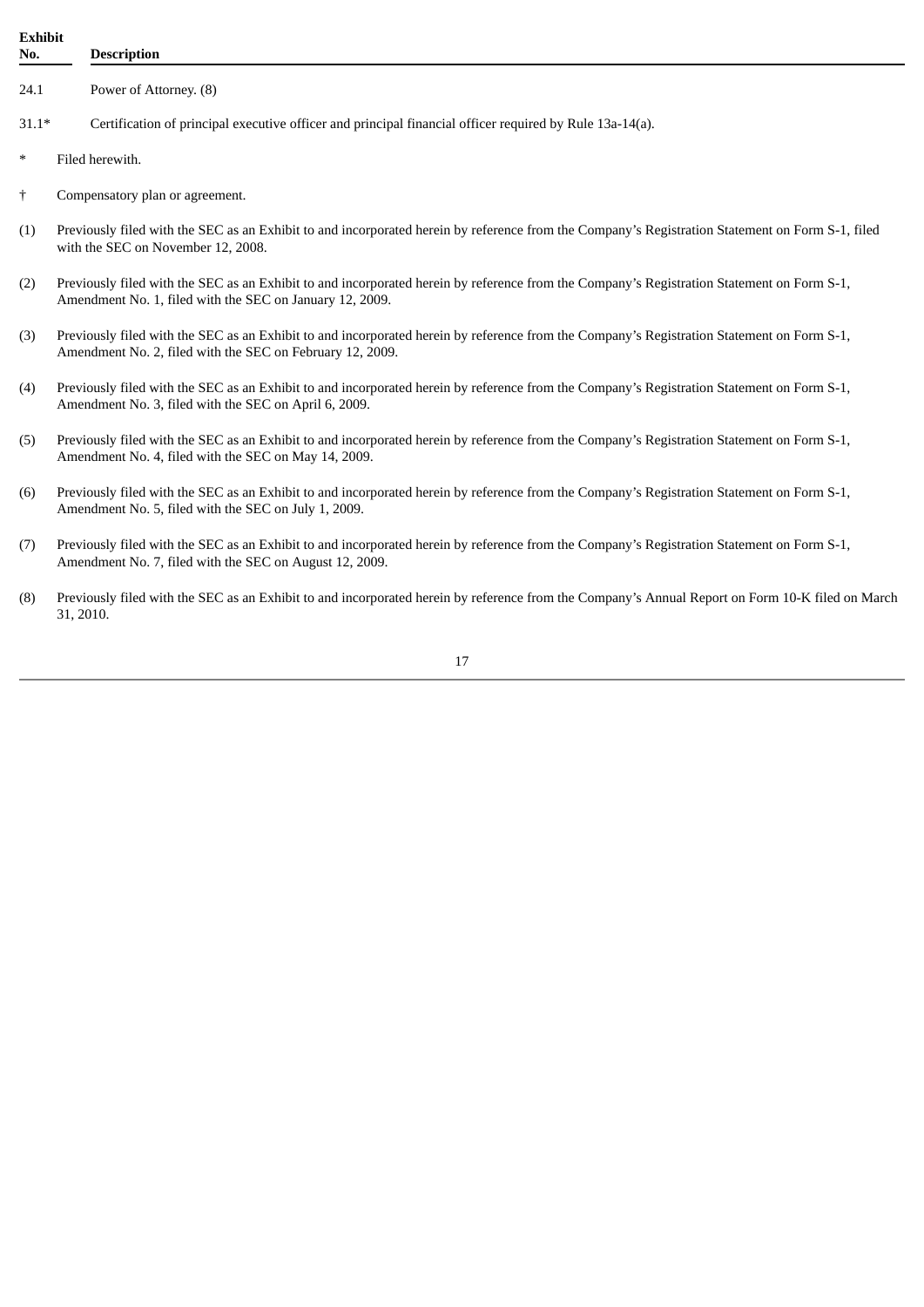| <b>Exhibit</b><br>No. |                                                                                                                                                                                        | <b>Description</b>                                                                                                                                                                                      |  |  |
|-----------------------|----------------------------------------------------------------------------------------------------------------------------------------------------------------------------------------|---------------------------------------------------------------------------------------------------------------------------------------------------------------------------------------------------------|--|--|
| 24.1                  |                                                                                                                                                                                        | Power of Attorney. (8)                                                                                                                                                                                  |  |  |
| $31.1*$               |                                                                                                                                                                                        | Certification of principal executive officer and principal financial officer required by Rule 13a-14(a).                                                                                                |  |  |
| $\ast$                | Filed herewith.                                                                                                                                                                        |                                                                                                                                                                                                         |  |  |
| $\dagger$             |                                                                                                                                                                                        | Compensatory plan or agreement.                                                                                                                                                                         |  |  |
| (1)                   | Previously filed with the SEC as an Exhibit to and incorporated herein by reference from the Company's Registration Statement on Form S-1, filed<br>with the SEC on November 12, 2008. |                                                                                                                                                                                                         |  |  |
| (2)                   |                                                                                                                                                                                        | Previously filed with the SEC as an Exhibit to and incorporated herein by reference from the Company's Registration Statement on Form S-1,<br>Amendment No. 1, filed with the SEC on January 12, 2009.  |  |  |
| (3)                   |                                                                                                                                                                                        | Previously filed with the SEC as an Exhibit to and incorporated herein by reference from the Company's Registration Statement on Form S-1,<br>Amendment No. 2, filed with the SEC on February 12, 2009. |  |  |
| (4)                   |                                                                                                                                                                                        | Previously filed with the SEC as an Exhibit to and incorporated herein by reference from the Company's Registration Statement on Form S-1,<br>Amendment No. 3, filed with the SEC on April 6, 2009.     |  |  |
| (5)                   |                                                                                                                                                                                        | Previously filed with the SEC as an Exhibit to and incorporated herein by reference from the Company's Registration Statement on Form S-1,<br>Amendment No. 4, filed with the SEC on May 14, 2009.      |  |  |
| (6)                   |                                                                                                                                                                                        | Previously filed with the SEC as an Exhibit to and incorporated herein by reference from the Company's Registration Statement on Form S-1,<br>Amendment No. 5, filed with the SEC on July 1, 2009.      |  |  |
| (7)                   |                                                                                                                                                                                        | Previously filed with the SEC as an Exhibit to and incorporated herein by reference from the Company's Registration Statement on Form S-1,<br>Amendment No. 7, filed with the SEC on August 12, 2009.   |  |  |

(8) Previously filed with the SEC as an Exhibit to and incorporated herein by reference from the Company's Annual Report on Form 10-K filed on March 31, 2010.